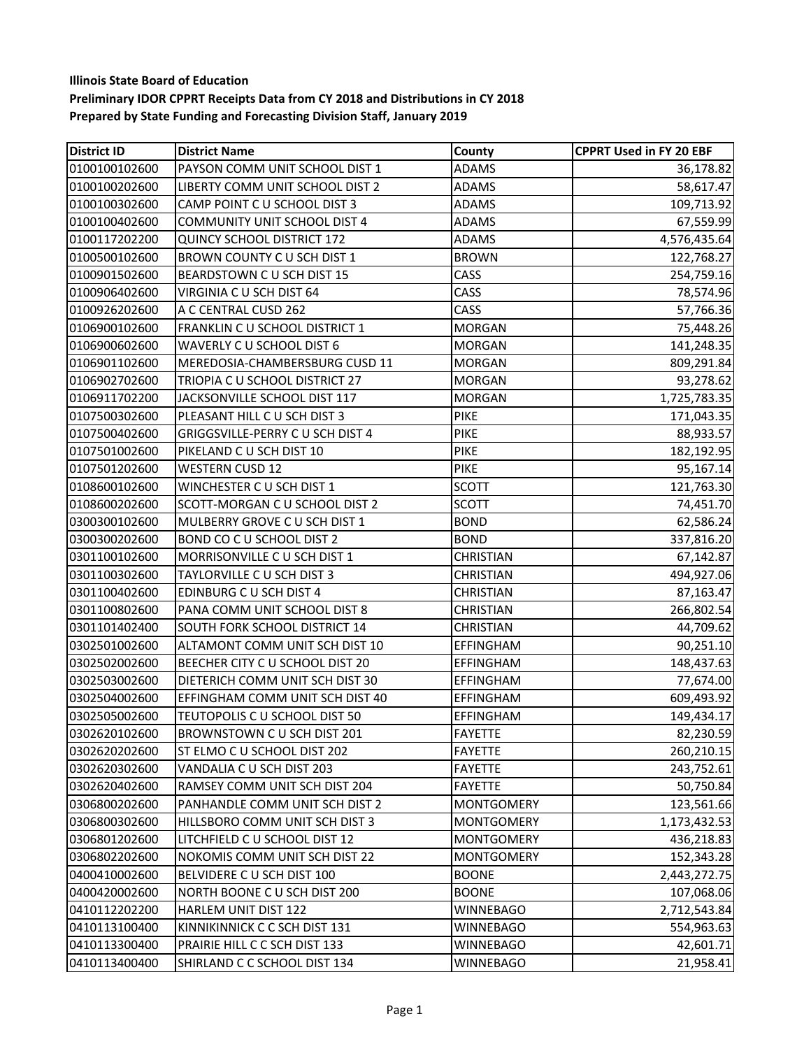| <b>District ID</b> | <b>District Name</b>                | County            | <b>CPPRT Used in FY 20 EBF</b> |
|--------------------|-------------------------------------|-------------------|--------------------------------|
| 0100100102600      | PAYSON COMM UNIT SCHOOL DIST 1      | <b>ADAMS</b>      | 36,178.82                      |
| 0100100202600      | LIBERTY COMM UNIT SCHOOL DIST 2     | <b>ADAMS</b>      | 58,617.47                      |
| 0100100302600      | CAMP POINT C U SCHOOL DIST 3        | <b>ADAMS</b>      | 109,713.92                     |
| 0100100402600      | <b>COMMUNITY UNIT SCHOOL DIST 4</b> | <b>ADAMS</b>      | 67,559.99                      |
| 0100117202200      | QUINCY SCHOOL DISTRICT 172          | <b>ADAMS</b>      | 4,576,435.64                   |
| 0100500102600      | BROWN COUNTY C U SCH DIST 1         | <b>BROWN</b>      | 122,768.27                     |
| 0100901502600      | BEARDSTOWN C U SCH DIST 15          | CASS              | 254,759.16                     |
| 0100906402600      | VIRGINIA C U SCH DIST 64            | CASS              | 78,574.96                      |
| 0100926202600      | A C CENTRAL CUSD 262                | CASS              | 57,766.36                      |
| 0106900102600      | FRANKLIN C U SCHOOL DISTRICT 1      | <b>MORGAN</b>     | 75,448.26                      |
| 0106900602600      | WAVERLY C U SCHOOL DIST 6           | <b>MORGAN</b>     | 141,248.35                     |
| 0106901102600      | MEREDOSIA-CHAMBERSBURG CUSD 11      | <b>MORGAN</b>     | 809,291.84                     |
| 0106902702600      | TRIOPIA C U SCHOOL DISTRICT 27      | <b>MORGAN</b>     | 93,278.62                      |
| 0106911702200      | JACKSONVILLE SCHOOL DIST 117        | <b>MORGAN</b>     | 1,725,783.35                   |
| 0107500302600      | PLEASANT HILL C U SCH DIST 3        | <b>PIKE</b>       | 171,043.35                     |
| 0107500402600      | GRIGGSVILLE-PERRY C U SCH DIST 4    | <b>PIKE</b>       | 88,933.57                      |
| 0107501002600      | PIKELAND C U SCH DIST 10            | <b>PIKE</b>       | 182,192.95                     |
| 0107501202600      | <b>WESTERN CUSD 12</b>              | PIKE              | 95,167.14                      |
| 0108600102600      | WINCHESTER C U SCH DIST 1           | <b>SCOTT</b>      | 121,763.30                     |
| 0108600202600      | SCOTT-MORGAN C U SCHOOL DIST 2      | <b>SCOTT</b>      | 74,451.70                      |
| 0300300102600      | MULBERRY GROVE C U SCH DIST 1       | <b>BOND</b>       | 62,586.24                      |
| 0300300202600      | BOND CO C U SCHOOL DIST 2           | <b>BOND</b>       | 337,816.20                     |
| 0301100102600      | MORRISONVILLE C U SCH DIST 1        | <b>CHRISTIAN</b>  | 67,142.87                      |
| 0301100302600      | TAYLORVILLE C U SCH DIST 3          | <b>CHRISTIAN</b>  | 494,927.06                     |
| 0301100402600      | EDINBURG C U SCH DIST 4             | <b>CHRISTIAN</b>  | 87,163.47                      |
| 0301100802600      | PANA COMM UNIT SCHOOL DIST 8        | <b>CHRISTIAN</b>  | 266,802.54                     |
| 0301101402400      | SOUTH FORK SCHOOL DISTRICT 14       | <b>CHRISTIAN</b>  | 44,709.62                      |
| 0302501002600      | ALTAMONT COMM UNIT SCH DIST 10      | EFFINGHAM         | 90,251.10                      |
| 0302502002600      | BEECHER CITY C U SCHOOL DIST 20     | <b>EFFINGHAM</b>  | 148,437.63                     |
| 0302503002600      | DIETERICH COMM UNIT SCH DIST 30     | <b>EFFINGHAM</b>  | 77,674.00                      |
| 0302504002600      | EFFINGHAM COMM UNIT SCH DIST 40     | <b>EFFINGHAM</b>  | 609,493.92                     |
| 0302505002600      | TEUTOPOLIS C U SCHOOL DIST 50       | <b>EFFINGHAM</b>  | 149,434.17                     |
| 0302620102600      | BROWNSTOWN C U SCH DIST 201         | <b>FAYETTE</b>    | 82,230.59                      |
| 0302620202600      | ST ELMO C U SCHOOL DIST 202         | <b>FAYETTE</b>    | 260,210.15                     |
| 0302620302600      | VANDALIA C U SCH DIST 203           | <b>FAYETTE</b>    | 243,752.61                     |
| 0302620402600      | RAMSEY COMM UNIT SCH DIST 204       | <b>FAYETTE</b>    | 50,750.84                      |
| 0306800202600      | PANHANDLE COMM UNIT SCH DIST 2      | <b>MONTGOMERY</b> | 123,561.66                     |
| 0306800302600      | HILLSBORO COMM UNIT SCH DIST 3      | <b>MONTGOMERY</b> | 1,173,432.53                   |
| 0306801202600      | LITCHFIELD C U SCHOOL DIST 12       | <b>MONTGOMERY</b> | 436,218.83                     |
| 0306802202600      | NOKOMIS COMM UNIT SCH DIST 22       | <b>MONTGOMERY</b> | 152,343.28                     |
| 0400410002600      | BELVIDERE C U SCH DIST 100          | <b>BOONE</b>      | 2,443,272.75                   |
| 0400420002600      | NORTH BOONE C U SCH DIST 200        | <b>BOONE</b>      | 107,068.06                     |
| 0410112202200      | HARLEM UNIT DIST 122                | <b>WINNEBAGO</b>  | 2,712,543.84                   |
| 0410113100400      | KINNIKINNICK C C SCH DIST 131       | <b>WINNEBAGO</b>  | 554,963.63                     |
| 0410113300400      | PRAIRIE HILL C C SCH DIST 133       | <b>WINNEBAGO</b>  | 42,601.71                      |
| 0410113400400      | SHIRLAND C C SCHOOL DIST 134        | <b>WINNEBAGO</b>  | 21,958.41                      |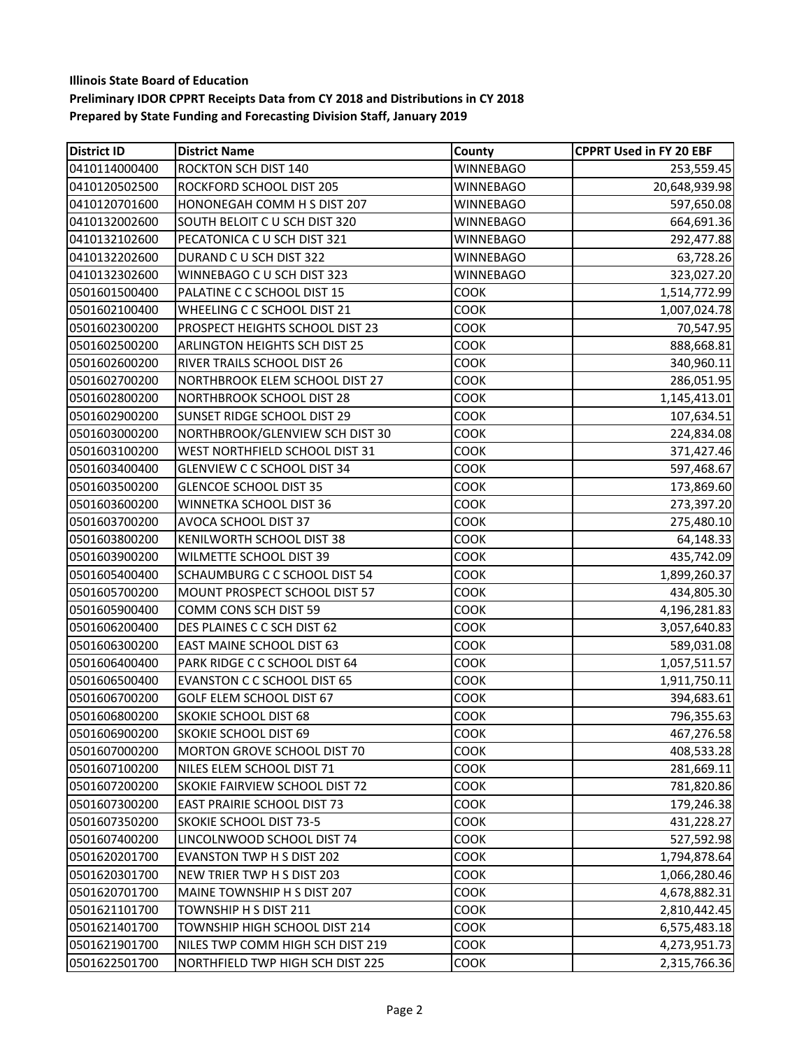| <b>District ID</b> | <b>District Name</b>               | County           | <b>CPPRT Used in FY 20 EBF</b> |
|--------------------|------------------------------------|------------------|--------------------------------|
| 0410114000400      | ROCKTON SCH DIST 140               | <b>WINNEBAGO</b> | 253,559.45                     |
| 0410120502500      | ROCKFORD SCHOOL DIST 205           | <b>WINNEBAGO</b> | 20,648,939.98                  |
| 0410120701600      | HONONEGAH COMM H S DIST 207        | <b>WINNEBAGO</b> | 597,650.08                     |
| 0410132002600      | SOUTH BELOIT C U SCH DIST 320      | <b>WINNEBAGO</b> | 664,691.36                     |
| 0410132102600      | PECATONICA C U SCH DIST 321        | <b>WINNEBAGO</b> | 292,477.88                     |
| 0410132202600      | DURAND C U SCH DIST 322            | <b>WINNEBAGO</b> | 63,728.26                      |
| 0410132302600      | WINNEBAGO C U SCH DIST 323         | <b>WINNEBAGO</b> | 323,027.20                     |
| 0501601500400      | PALATINE C C SCHOOL DIST 15        | COOK             | 1,514,772.99                   |
| 0501602100400      | WHEELING C C SCHOOL DIST 21        | COOK             | 1,007,024.78                   |
| 0501602300200      | PROSPECT HEIGHTS SCHOOL DIST 23    | COOK             | 70,547.95                      |
| 0501602500200      | ARLINGTON HEIGHTS SCH DIST 25      | COOK             | 888,668.81                     |
| 0501602600200      | RIVER TRAILS SCHOOL DIST 26        | COOK             | 340,960.11                     |
| 0501602700200      | NORTHBROOK ELEM SCHOOL DIST 27     | COOK             | 286,051.95                     |
| 0501602800200      | <b>NORTHBROOK SCHOOL DIST 28</b>   | COOK             | 1,145,413.01                   |
| 0501602900200      | SUNSET RIDGE SCHOOL DIST 29        | COOK             | 107,634.51                     |
| 0501603000200      | NORTHBROOK/GLENVIEW SCH DIST 30    | COOK             | 224,834.08                     |
| 0501603100200      | WEST NORTHFIELD SCHOOL DIST 31     | COOK             | 371,427.46                     |
| 0501603400400      | <b>GLENVIEW C C SCHOOL DIST 34</b> | COOK             | 597,468.67                     |
| 0501603500200      | <b>GLENCOE SCHOOL DIST 35</b>      | COOK             | 173,869.60                     |
| 0501603600200      | WINNETKA SCHOOL DIST 36            | COOK             | 273,397.20                     |
| 0501603700200      | AVOCA SCHOOL DIST 37               | COOK             | 275,480.10                     |
| 0501603800200      | KENILWORTH SCHOOL DIST 38          | COOK             | 64,148.33                      |
| 0501603900200      | WILMETTE SCHOOL DIST 39            | COOK             | 435,742.09                     |
| 0501605400400      | SCHAUMBURG C C SCHOOL DIST 54      | COOK             | 1,899,260.37                   |
| 0501605700200      | MOUNT PROSPECT SCHOOL DIST 57      | COOK             | 434,805.30                     |
| 0501605900400      | COMM CONS SCH DIST 59              | COOK             | 4,196,281.83                   |
| 0501606200400      | DES PLAINES C C SCH DIST 62        | COOK             | 3,057,640.83                   |
| 0501606300200      | EAST MAINE SCHOOL DIST 63          | COOK             | 589,031.08                     |
| 0501606400400      | PARK RIDGE C C SCHOOL DIST 64      | COOK             | 1,057,511.57                   |
| 0501606500400      | <b>EVANSTON C C SCHOOL DIST 65</b> | COOK             | 1,911,750.11                   |
| 0501606700200      | GOLF ELEM SCHOOL DIST 67           | COOK             | 394,683.61                     |
| 0501606800200      | SKOKIE SCHOOL DIST 68              | COOK             | 796,355.63                     |
| 0501606900200      | <b>SKOKIE SCHOOL DIST 69</b>       | COOK             | 467,276.58                     |
| 0501607000200      | MORTON GROVE SCHOOL DIST 70        | <b>COOK</b>      | 408,533.28                     |
| 0501607100200      | NILES ELEM SCHOOL DIST 71          | <b>COOK</b>      | 281,669.11                     |
| 0501607200200      | SKOKIE FAIRVIEW SCHOOL DIST 72     | COOK             | 781,820.86                     |
| 0501607300200      | EAST PRAIRIE SCHOOL DIST 73        | COOK             | 179,246.38                     |
| 0501607350200      | <b>SKOKIE SCHOOL DIST 73-5</b>     | COOK             | 431,228.27                     |
| 0501607400200      | LINCOLNWOOD SCHOOL DIST 74         | COOK             | 527,592.98                     |
| 0501620201700      | <b>EVANSTON TWP H S DIST 202</b>   | COOK             | 1,794,878.64                   |
| 0501620301700      | NEW TRIER TWP H S DIST 203         | COOK             | 1,066,280.46                   |
| 0501620701700      | MAINE TOWNSHIP H S DIST 207        | COOK             | 4,678,882.31                   |
| 0501621101700      | TOWNSHIP H S DIST 211              | COOK             | 2,810,442.45                   |
| 0501621401700      | TOWNSHIP HIGH SCHOOL DIST 214      | COOK             | 6,575,483.18                   |
| 0501621901700      | NILES TWP COMM HIGH SCH DIST 219   | COOK             | 4,273,951.73                   |
| 0501622501700      | NORTHFIELD TWP HIGH SCH DIST 225   | COOK             | 2,315,766.36                   |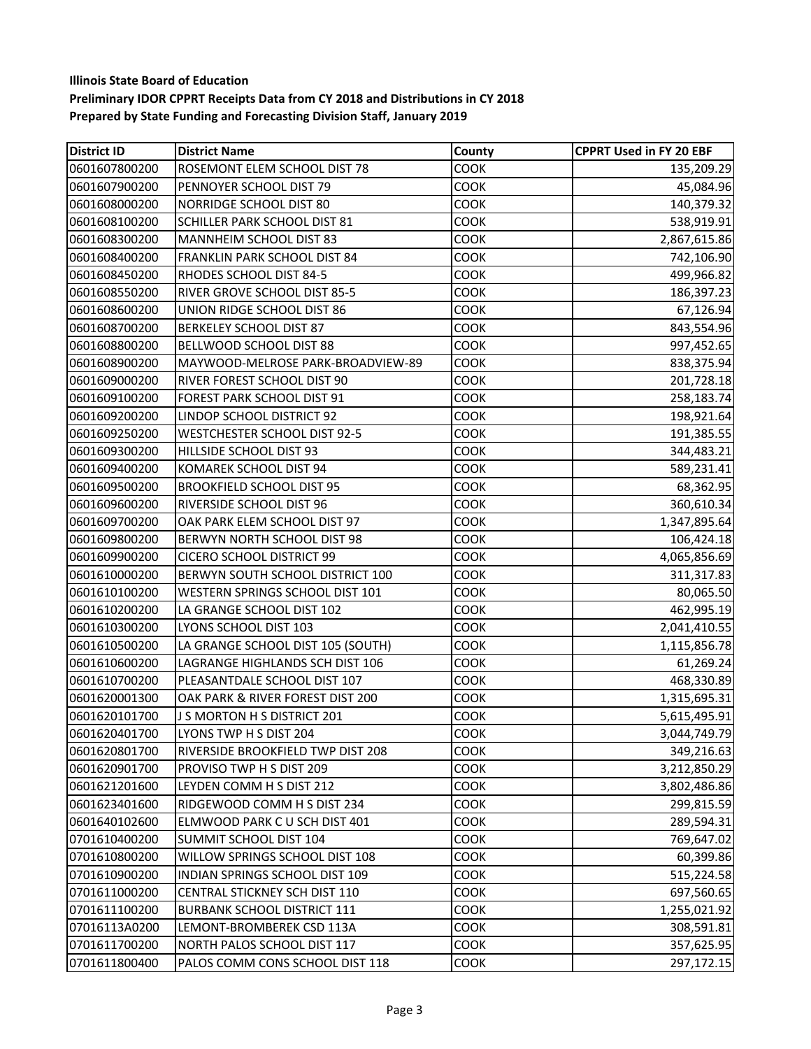| <b>District ID</b> | <b>District Name</b>                | County      | <b>CPPRT Used in FY 20 EBF</b> |
|--------------------|-------------------------------------|-------------|--------------------------------|
| 0601607800200      | ROSEMONT ELEM SCHOOL DIST 78        | COOK        | 135,209.29                     |
| 0601607900200      | PENNOYER SCHOOL DIST 79             | COOK        | 45,084.96                      |
| 0601608000200      | NORRIDGE SCHOOL DIST 80             | COOK        | 140,379.32                     |
| 0601608100200      | <b>SCHILLER PARK SCHOOL DIST 81</b> | COOK        | 538,919.91                     |
| 0601608300200      | MANNHEIM SCHOOL DIST 83             | COOK        | 2,867,615.86                   |
| 0601608400200      | FRANKLIN PARK SCHOOL DIST 84        | COOK        | 742,106.90                     |
| 0601608450200      | RHODES SCHOOL DIST 84-5             | COOK        | 499,966.82                     |
| 0601608550200      | RIVER GROVE SCHOOL DIST 85-5        | COOK        | 186,397.23                     |
| 0601608600200      | UNION RIDGE SCHOOL DIST 86          | COOK        | 67,126.94                      |
| 0601608700200      | <b>BERKELEY SCHOOL DIST 87</b>      | COOK        | 843,554.96                     |
| 0601608800200      | BELLWOOD SCHOOL DIST 88             | COOK        | 997,452.65                     |
| 0601608900200      | MAYWOOD-MELROSE PARK-BROADVIEW-89   | COOK        | 838,375.94                     |
| 0601609000200      | RIVER FOREST SCHOOL DIST 90         | COOK        | 201,728.18                     |
| 0601609100200      | FOREST PARK SCHOOL DIST 91          | COOK        | 258,183.74                     |
| 0601609200200      | LINDOP SCHOOL DISTRICT 92           | COOK        | 198,921.64                     |
| 0601609250200      | <b>WESTCHESTER SCHOOL DIST 92-5</b> | COOK        | 191,385.55                     |
| 0601609300200      | HILLSIDE SCHOOL DIST 93             | COOK        | 344,483.21                     |
| 0601609400200      | KOMAREK SCHOOL DIST 94              | COOK        | 589,231.41                     |
| 0601609500200      | <b>BROOKFIELD SCHOOL DIST 95</b>    | COOK        | 68,362.95                      |
| 0601609600200      | RIVERSIDE SCHOOL DIST 96            | COOK        | 360,610.34                     |
| 0601609700200      | OAK PARK ELEM SCHOOL DIST 97        | COOK        | 1,347,895.64                   |
| 0601609800200      | BERWYN NORTH SCHOOL DIST 98         | COOK        | 106,424.18                     |
| 0601609900200      | <b>CICERO SCHOOL DISTRICT 99</b>    | COOK        | 4,065,856.69                   |
| 0601610000200      | BERWYN SOUTH SCHOOL DISTRICT 100    | COOK        | 311,317.83                     |
| 0601610100200      | WESTERN SPRINGS SCHOOL DIST 101     | COOK        | 80,065.50                      |
| 0601610200200      | LA GRANGE SCHOOL DIST 102           | COOK        | 462,995.19                     |
| 0601610300200      | LYONS SCHOOL DIST 103               | COOK        | 2,041,410.55                   |
| 0601610500200      | LA GRANGE SCHOOL DIST 105 (SOUTH)   | <b>COOK</b> | 1,115,856.78                   |
| 0601610600200      | LAGRANGE HIGHLANDS SCH DIST 106     | COOK        | 61,269.24                      |
| 0601610700200      | PLEASANTDALE SCHOOL DIST 107        | COOK        | 468,330.89                     |
| 0601620001300      | OAK PARK & RIVER FOREST DIST 200    | COOK        | 1,315,695.31                   |
| 0601620101700      | J S MORTON H S DISTRICT 201         | COOK        | 5,615,495.91                   |
| 0601620401700      | LYONS TWP H S DIST 204              | <b>COOK</b> | 3,044,749.79                   |
| 0601620801700      | RIVERSIDE BROOKFIELD TWP DIST 208   | COOK        | 349,216.63                     |
| 0601620901700      | PROVISO TWP H S DIST 209            | COOK        | 3,212,850.29                   |
| 0601621201600      | LEYDEN COMM H S DIST 212            | COOK        | 3,802,486.86                   |
| 0601623401600      | RIDGEWOOD COMM H S DIST 234         | <b>COOK</b> | 299,815.59                     |
| 0601640102600      | ELMWOOD PARK C U SCH DIST 401       | COOK        | 289,594.31                     |
| 0701610400200      | SUMMIT SCHOOL DIST 104              | COOK        | 769,647.02                     |
| 0701610800200      | WILLOW SPRINGS SCHOOL DIST 108      | COOK        | 60,399.86                      |
| 0701610900200      | INDIAN SPRINGS SCHOOL DIST 109      | COOK        | 515,224.58                     |
| 0701611000200      | CENTRAL STICKNEY SCH DIST 110       | COOK        | 697,560.65                     |
| 0701611100200      | <b>BURBANK SCHOOL DISTRICT 111</b>  | COOK        | 1,255,021.92                   |
| 07016113A0200      | LEMONT-BROMBEREK CSD 113A           | COOK        | 308,591.81                     |
| 0701611700200      | NORTH PALOS SCHOOL DIST 117         | COOK        | 357,625.95                     |
| 0701611800400      | PALOS COMM CONS SCHOOL DIST 118     | <b>COOK</b> | 297,172.15                     |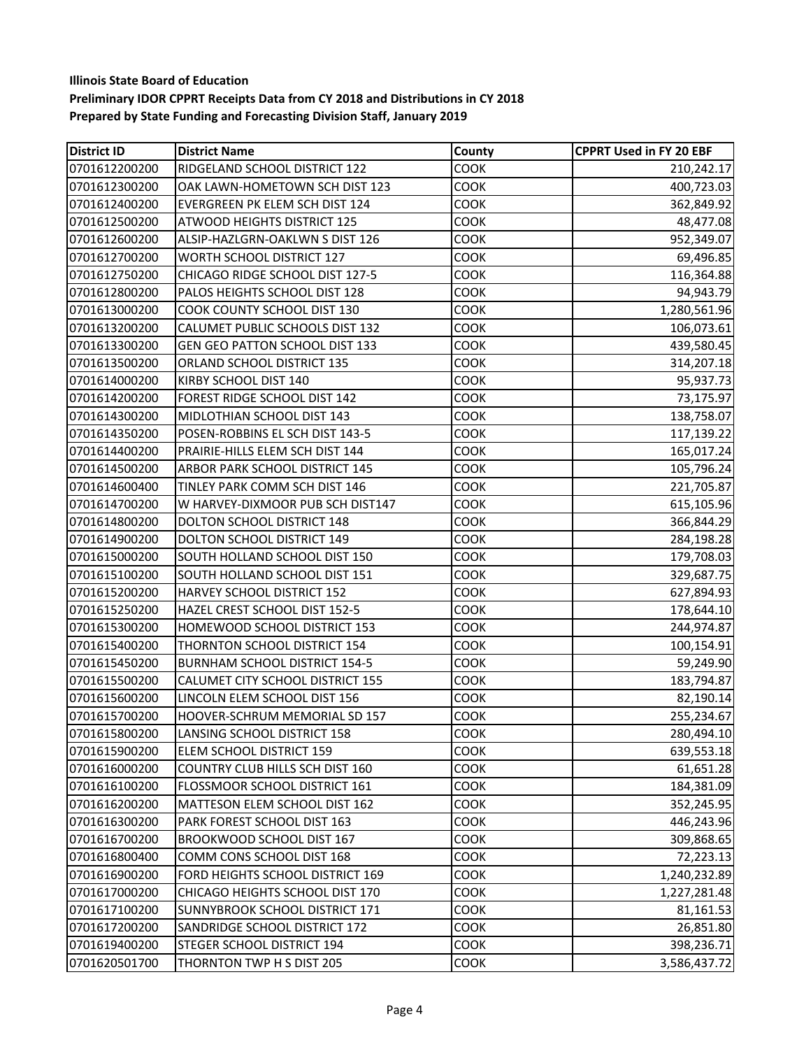| <b>District ID</b> | <b>District Name</b>                 | County      | <b>CPPRT Used in FY 20 EBF</b> |
|--------------------|--------------------------------------|-------------|--------------------------------|
| 0701612200200      | RIDGELAND SCHOOL DISTRICT 122        | COOK        | 210,242.17                     |
| 0701612300200      | OAK LAWN-HOMETOWN SCH DIST 123       | COOK        | 400,723.03                     |
| 0701612400200      | EVERGREEN PK ELEM SCH DIST 124       | COOK        | 362,849.92                     |
| 0701612500200      | ATWOOD HEIGHTS DISTRICT 125          | COOK        | 48,477.08                      |
| 0701612600200      | ALSIP-HAZLGRN-OAKLWN S DIST 126      | COOK        | 952,349.07                     |
| 0701612700200      | WORTH SCHOOL DISTRICT 127            | COOK        | 69,496.85                      |
| 0701612750200      | CHICAGO RIDGE SCHOOL DIST 127-5      | COOK        | 116,364.88                     |
| 0701612800200      | PALOS HEIGHTS SCHOOL DIST 128        | COOK        | 94,943.79                      |
| 0701613000200      | COOK COUNTY SCHOOL DIST 130          | COOK        | 1,280,561.96                   |
| 0701613200200      | CALUMET PUBLIC SCHOOLS DIST 132      | COOK        | 106,073.61                     |
| 0701613300200      | GEN GEO PATTON SCHOOL DIST 133       | COOK        | 439,580.45                     |
| 0701613500200      | ORLAND SCHOOL DISTRICT 135           | COOK        | 314,207.18                     |
| 0701614000200      | KIRBY SCHOOL DIST 140                | COOK        | 95,937.73                      |
| 0701614200200      | FOREST RIDGE SCHOOL DIST 142         | COOK        | 73,175.97                      |
| 0701614300200      | MIDLOTHIAN SCHOOL DIST 143           | COOK        | 138,758.07                     |
| 0701614350200      | POSEN-ROBBINS EL SCH DIST 143-5      | COOK        | 117,139.22                     |
| 0701614400200      | PRAIRIE-HILLS ELEM SCH DIST 144      | COOK        | 165,017.24                     |
| 0701614500200      | ARBOR PARK SCHOOL DISTRICT 145       | COOK        | 105,796.24                     |
| 0701614600400      | TINLEY PARK COMM SCH DIST 146        | COOK        | 221,705.87                     |
| 0701614700200      | W HARVEY-DIXMOOR PUB SCH DIST147     | COOK        | 615,105.96                     |
| 0701614800200      | DOLTON SCHOOL DISTRICT 148           | COOK        | 366,844.29                     |
| 0701614900200      | DOLTON SCHOOL DISTRICT 149           | COOK        | 284,198.28                     |
| 0701615000200      | SOUTH HOLLAND SCHOOL DIST 150        | COOK        | 179,708.03                     |
| 0701615100200      | SOUTH HOLLAND SCHOOL DIST 151        | COOK        | 329,687.75                     |
| 0701615200200      | HARVEY SCHOOL DISTRICT 152           | COOK        | 627,894.93                     |
| 0701615250200      | HAZEL CREST SCHOOL DIST 152-5        | COOK        | 178,644.10                     |
| 0701615300200      | HOMEWOOD SCHOOL DISTRICT 153         | COOK        | 244,974.87                     |
| 0701615400200      | THORNTON SCHOOL DISTRICT 154         | COOK        | 100,154.91                     |
| 0701615450200      | <b>BURNHAM SCHOOL DISTRICT 154-5</b> | COOK        | 59,249.90                      |
| 0701615500200      | CALUMET CITY SCHOOL DISTRICT 155     | COOK        | 183,794.87                     |
| 0701615600200      | LINCOLN ELEM SCHOOL DIST 156         | COOK        | 82,190.14                      |
| 0701615700200      | HOOVER-SCHRUM MEMORIAL SD 157        | <b>COOK</b> | 255,234.67                     |
| 0701615800200      | LANSING SCHOOL DISTRICT 158          | COOK        | 280,494.10                     |
| 0701615900200      | ELEM SCHOOL DISTRICT 159             | COOK        | 639,553.18                     |
| 0701616000200      | COUNTRY CLUB HILLS SCH DIST 160      | COOK        | 61,651.28                      |
| 0701616100200      | FLOSSMOOR SCHOOL DISTRICT 161        | COOK        | 184,381.09                     |
| 0701616200200      | MATTESON ELEM SCHOOL DIST 162        | COOK        | 352,245.95                     |
| 0701616300200      | PARK FOREST SCHOOL DIST 163          | COOK        | 446,243.96                     |
| 0701616700200      | BROOKWOOD SCHOOL DIST 167            | COOK        | 309,868.65                     |
| 0701616800400      | COMM CONS SCHOOL DIST 168            | COOK        | 72,223.13                      |
| 0701616900200      | FORD HEIGHTS SCHOOL DISTRICT 169     | COOK        | 1,240,232.89                   |
| 0701617000200      | CHICAGO HEIGHTS SCHOOL DIST 170      | COOK        | 1,227,281.48                   |
| 0701617100200      | SUNNYBROOK SCHOOL DISTRICT 171       | COOK        | 81,161.53                      |
| 0701617200200      | SANDRIDGE SCHOOL DISTRICT 172        | COOK        | 26,851.80                      |
| 0701619400200      | STEGER SCHOOL DISTRICT 194           | COOK        | 398,236.71                     |
| 0701620501700      | THORNTON TWP H S DIST 205            | COOK        | 3,586,437.72                   |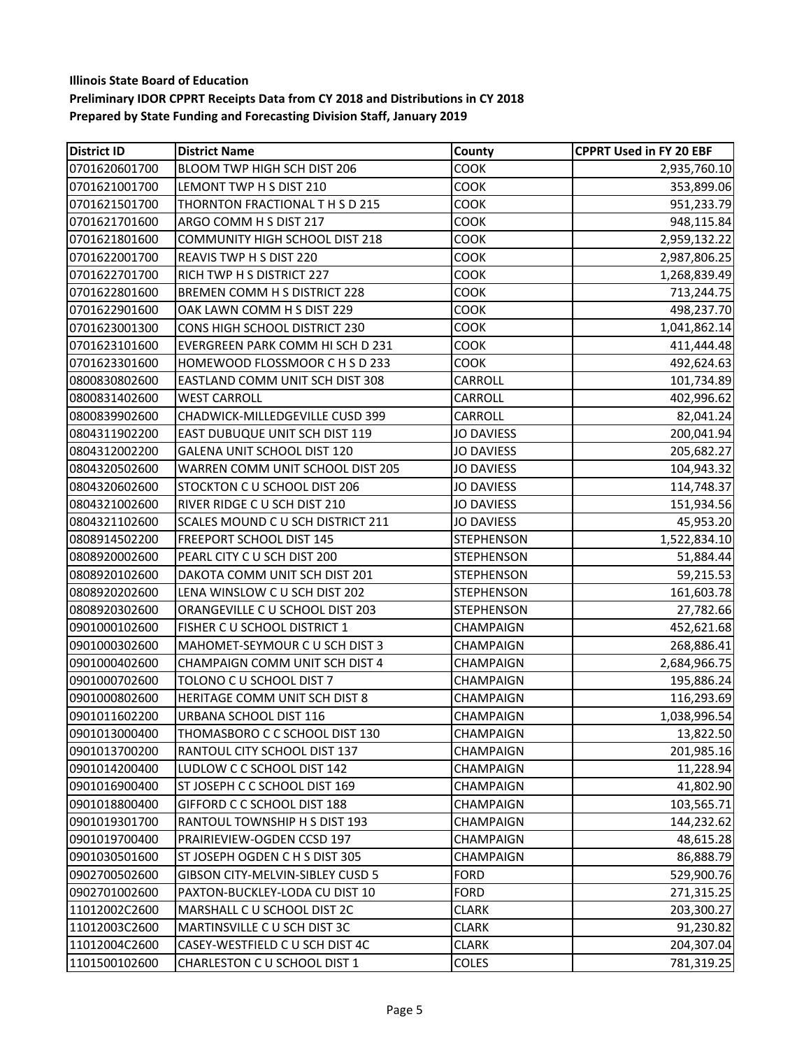| <b>District ID</b> | <b>District Name</b>                  | County            | <b>CPPRT Used in FY 20 EBF</b> |
|--------------------|---------------------------------------|-------------------|--------------------------------|
| 0701620601700      | BLOOM TWP HIGH SCH DIST 206           | <b>COOK</b>       | 2,935,760.10                   |
| 0701621001700      | LEMONT TWP H S DIST 210               | COOK              | 353,899.06                     |
| 0701621501700      | THORNTON FRACTIONAL T H S D 215       | COOK              | 951,233.79                     |
| 0701621701600      | ARGO COMM H S DIST 217                | COOK              | 948,115.84                     |
| 0701621801600      | <b>COMMUNITY HIGH SCHOOL DIST 218</b> | <b>COOK</b>       | 2,959,132.22                   |
| 0701622001700      | REAVIS TWP H S DIST 220               | COOK              | 2,987,806.25                   |
| 0701622701700      | RICH TWP H S DISTRICT 227             | COOK              | 1,268,839.49                   |
| 0701622801600      | <b>BREMEN COMM H S DISTRICT 228</b>   | COOK              | 713,244.75                     |
| 0701622901600      | OAK LAWN COMM H S DIST 229            | COOK              | 498,237.70                     |
| 0701623001300      | CONS HIGH SCHOOL DISTRICT 230         | COOK              | 1,041,862.14                   |
| 0701623101600      | EVERGREEN PARK COMM HI SCH D 231      | COOK              | 411,444.48                     |
| 0701623301600      | HOMEWOOD FLOSSMOOR C H S D 233        | COOK              | 492,624.63                     |
| 0800830802600      | EASTLAND COMM UNIT SCH DIST 308       | CARROLL           | 101,734.89                     |
| 0800831402600      | <b>WEST CARROLL</b>                   | CARROLL           | 402,996.62                     |
| 0800839902600      | CHADWICK-MILLEDGEVILLE CUSD 399       | CARROLL           | 82,041.24                      |
| 0804311902200      | EAST DUBUQUE UNIT SCH DIST 119        | <b>JO DAVIESS</b> | 200,041.94                     |
| 0804312002200      | GALENA UNIT SCHOOL DIST 120           | <b>JO DAVIESS</b> | 205,682.27                     |
| 0804320502600      | WARREN COMM UNIT SCHOOL DIST 205      | <b>JO DAVIESS</b> | 104,943.32                     |
| 0804320602600      | STOCKTON C U SCHOOL DIST 206          | <b>JO DAVIESS</b> | 114,748.37                     |
| 0804321002600      | RIVER RIDGE C U SCH DIST 210          | <b>JO DAVIESS</b> | 151,934.56                     |
| 0804321102600      | SCALES MOUND C U SCH DISTRICT 211     | <b>JO DAVIESS</b> | 45,953.20                      |
| 0808914502200      | FREEPORT SCHOOL DIST 145              | <b>STEPHENSON</b> | 1,522,834.10                   |
| 0808920002600      | PEARL CITY C U SCH DIST 200           | <b>STEPHENSON</b> | 51,884.44                      |
| 0808920102600      | DAKOTA COMM UNIT SCH DIST 201         | <b>STEPHENSON</b> | 59,215.53                      |
| 0808920202600      | LENA WINSLOW C U SCH DIST 202         | <b>STEPHENSON</b> | 161,603.78                     |
| 0808920302600      | ORANGEVILLE C U SCHOOL DIST 203       | <b>STEPHENSON</b> | 27,782.66                      |
| 0901000102600      | FISHER C U SCHOOL DISTRICT 1          | <b>CHAMPAIGN</b>  | 452,621.68                     |
| 0901000302600      | MAHOMET-SEYMOUR C U SCH DIST 3        | CHAMPAIGN         | 268,886.41                     |
| 0901000402600      | CHAMPAIGN COMM UNIT SCH DIST 4        | <b>CHAMPAIGN</b>  | 2,684,966.75                   |
| 0901000702600      | TOLONO C U SCHOOL DIST 7              | CHAMPAIGN         | 195,886.24                     |
| 0901000802600      | HERITAGE COMM UNIT SCH DIST 8         | <b>CHAMPAIGN</b>  | 116,293.69                     |
| 0901011602200      | URBANA SCHOOL DIST 116                | <b>CHAMPAIGN</b>  | 1,038,996.54                   |
| 0901013000400      | THOMASBORO C C SCHOOL DIST 130        | CHAMPAIGN         | 13,822.50                      |
| 0901013700200      | RANTOUL CITY SCHOOL DIST 137          | CHAMPAIGN         | 201,985.16                     |
| 0901014200400      | LUDLOW C C SCHOOL DIST 142            | CHAMPAIGN         | 11,228.94                      |
| 0901016900400      | ST JOSEPH C C SCHOOL DIST 169         | CHAMPAIGN         | 41,802.90                      |
| 0901018800400      | GIFFORD C C SCHOOL DIST 188           | CHAMPAIGN         | 103,565.71                     |
| 0901019301700      | RANTOUL TOWNSHIP H S DIST 193         | CHAMPAIGN         | 144,232.62                     |
| 0901019700400      | PRAIRIEVIEW-OGDEN CCSD 197            | <b>CHAMPAIGN</b>  | 48,615.28                      |
| 0901030501600      | ST JOSEPH OGDEN C H S DIST 305        | <b>CHAMPAIGN</b>  | 86,888.79                      |
| 0902700502600      | GIBSON CITY-MELVIN-SIBLEY CUSD 5      | <b>FORD</b>       | 529,900.76                     |
| 0902701002600      | PAXTON-BUCKLEY-LODA CU DIST 10        | <b>FORD</b>       | 271,315.25                     |
| 11012002C2600      | MARSHALL C U SCHOOL DIST 2C           | <b>CLARK</b>      | 203,300.27                     |
| 11012003C2600      | MARTINSVILLE C U SCH DIST 3C          | <b>CLARK</b>      | 91,230.82                      |
| 11012004C2600      | CASEY-WESTFIELD C U SCH DIST 4C       | <b>CLARK</b>      | 204,307.04                     |
| 1101500102600      | CHARLESTON C U SCHOOL DIST 1          | <b>COLES</b>      | 781,319.25                     |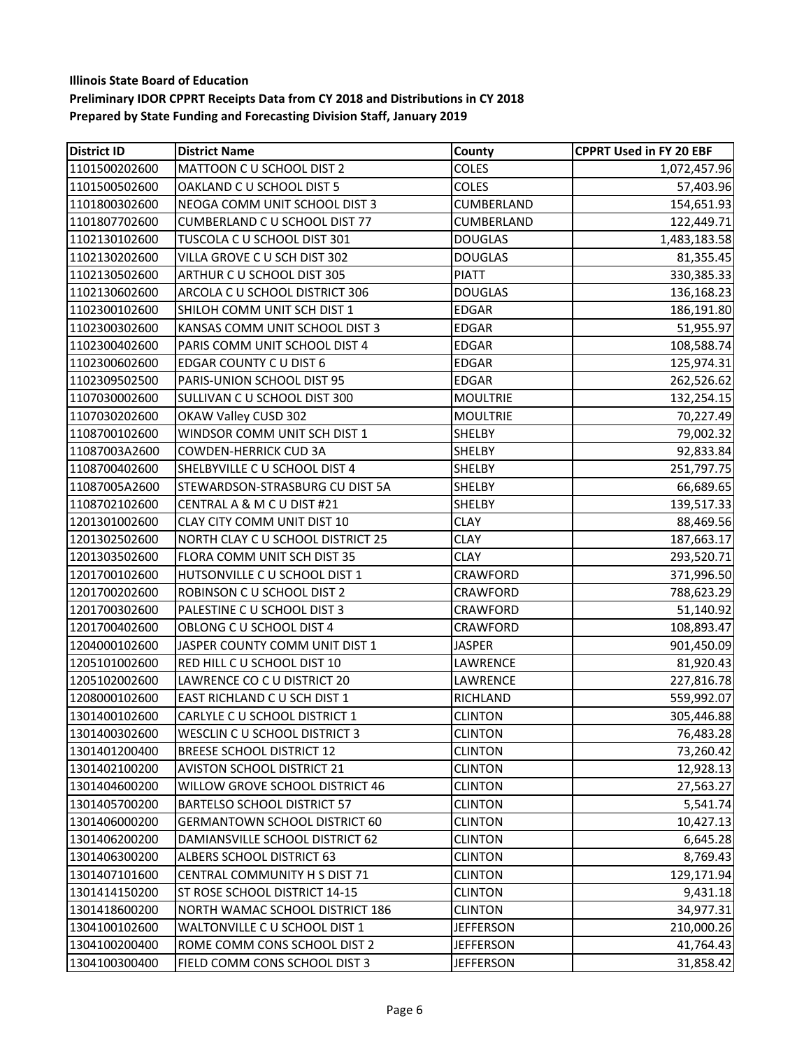| <b>District ID</b> | <b>District Name</b>                 | County           | <b>CPPRT Used in FY 20 EBF</b> |
|--------------------|--------------------------------------|------------------|--------------------------------|
| 1101500202600      | MATTOON C U SCHOOL DIST 2            | COLES            | 1,072,457.96                   |
| 1101500502600      | OAKLAND C U SCHOOL DIST 5            | COLES            | 57,403.96                      |
| 1101800302600      | NEOGA COMM UNIT SCHOOL DIST 3        | CUMBERLAND       | 154,651.93                     |
| 1101807702600      | CUMBERLAND C U SCHOOL DIST 77        | CUMBERLAND       | 122,449.71                     |
| 1102130102600      | TUSCOLA C U SCHOOL DIST 301          | <b>DOUGLAS</b>   | 1,483,183.58                   |
| 1102130202600      | VILLA GROVE C U SCH DIST 302         | <b>DOUGLAS</b>   | 81,355.45                      |
| 1102130502600      | ARTHUR C U SCHOOL DIST 305           | <b>PIATT</b>     | 330, 385. 33                   |
| 1102130602600      | ARCOLA C U SCHOOL DISTRICT 306       | <b>DOUGLAS</b>   | 136,168.23                     |
| 1102300102600      | SHILOH COMM UNIT SCH DIST 1          | <b>EDGAR</b>     | 186,191.80                     |
| 1102300302600      | KANSAS COMM UNIT SCHOOL DIST 3       | <b>EDGAR</b>     | 51,955.97                      |
| 1102300402600      | PARIS COMM UNIT SCHOOL DIST 4        | <b>EDGAR</b>     | 108,588.74                     |
| 1102300602600      | EDGAR COUNTY C U DIST 6              | <b>EDGAR</b>     | 125,974.31                     |
| 1102309502500      | PARIS-UNION SCHOOL DIST 95           | <b>EDGAR</b>     | 262,526.62                     |
| 1107030002600      | SULLIVAN C U SCHOOL DIST 300         | <b>MOULTRIE</b>  | 132,254.15                     |
| 1107030202600      | OKAW Valley CUSD 302                 | <b>MOULTRIE</b>  | 70,227.49                      |
| 1108700102600      | WINDSOR COMM UNIT SCH DIST 1         | SHELBY           | 79,002.32                      |
| 11087003A2600      | <b>COWDEN-HERRICK CUD 3A</b>         | <b>SHELBY</b>    | 92,833.84                      |
| 1108700402600      | SHELBYVILLE C U SCHOOL DIST 4        | <b>SHELBY</b>    | 251,797.75                     |
| 11087005A2600      | STEWARDSON-STRASBURG CU DIST 5A      | <b>SHELBY</b>    | 66,689.65                      |
| 1108702102600      | CENTRAL A & M C U DIST #21           | <b>SHELBY</b>    | 139,517.33                     |
| 1201301002600      | CLAY CITY COMM UNIT DIST 10          | <b>CLAY</b>      | 88,469.56                      |
| 1201302502600      | NORTH CLAY C U SCHOOL DISTRICT 25    | <b>CLAY</b>      | 187,663.17                     |
| 1201303502600      | FLORA COMM UNIT SCH DIST 35          | <b>CLAY</b>      | 293,520.71                     |
| 1201700102600      | HUTSONVILLE C U SCHOOL DIST 1        | <b>CRAWFORD</b>  | 371,996.50                     |
| 1201700202600      | ROBINSON C U SCHOOL DIST 2           | <b>CRAWFORD</b>  | 788,623.29                     |
| 1201700302600      | PALESTINE C U SCHOOL DIST 3          | <b>CRAWFORD</b>  | 51,140.92                      |
| 1201700402600      | OBLONG C U SCHOOL DIST 4             | <b>CRAWFORD</b>  | 108,893.47                     |
| 1204000102600      | JASPER COUNTY COMM UNIT DIST 1       | <b>JASPER</b>    | 901,450.09                     |
| 1205101002600      | RED HILL C U SCHOOL DIST 10          | LAWRENCE         | 81,920.43                      |
| 1205102002600      | LAWRENCE CO C U DISTRICT 20          | LAWRENCE         | 227,816.78                     |
| 1208000102600      | EAST RICHLAND C U SCH DIST 1         | <b>RICHLAND</b>  | 559,992.07                     |
| 1301400102600      | CARLYLE C U SCHOOL DISTRICT 1        | <b>CLINTON</b>   | 305,446.88                     |
| 1301400302600      | WESCLIN C U SCHOOL DISTRICT 3        | <b>CLINTON</b>   | 76,483.28                      |
| 1301401200400      | <b>BREESE SCHOOL DISTRICT 12</b>     | <b>CLINTON</b>   | 73,260.42                      |
| 1301402100200      | <b>AVISTON SCHOOL DISTRICT 21</b>    | <b>CLINTON</b>   | 12,928.13                      |
| 1301404600200      | WILLOW GROVE SCHOOL DISTRICT 46      | <b>CLINTON</b>   | 27,563.27                      |
| 1301405700200      | <b>BARTELSO SCHOOL DISTRICT 57</b>   | <b>CLINTON</b>   | 5,541.74                       |
| 1301406000200      | <b>GERMANTOWN SCHOOL DISTRICT 60</b> | <b>CLINTON</b>   | 10,427.13                      |
| 1301406200200      | DAMIANSVILLE SCHOOL DISTRICT 62      | <b>CLINTON</b>   | 6,645.28                       |
| 1301406300200      | ALBERS SCHOOL DISTRICT 63            | <b>CLINTON</b>   | 8,769.43                       |
| 1301407101600      | CENTRAL COMMUNITY H S DIST 71        | <b>CLINTON</b>   | 129,171.94                     |
| 1301414150200      | ST ROSE SCHOOL DISTRICT 14-15        | <b>CLINTON</b>   | 9,431.18                       |
| 1301418600200      | NORTH WAMAC SCHOOL DISTRICT 186      | <b>CLINTON</b>   | 34,977.31                      |
| 1304100102600      | WALTONVILLE C U SCHOOL DIST 1        | <b>JEFFERSON</b> | 210,000.26                     |
| 1304100200400      | ROME COMM CONS SCHOOL DIST 2         | <b>JEFFERSON</b> | 41,764.43                      |
| 1304100300400      | FIELD COMM CONS SCHOOL DIST 3        | <b>JEFFERSON</b> | 31,858.42                      |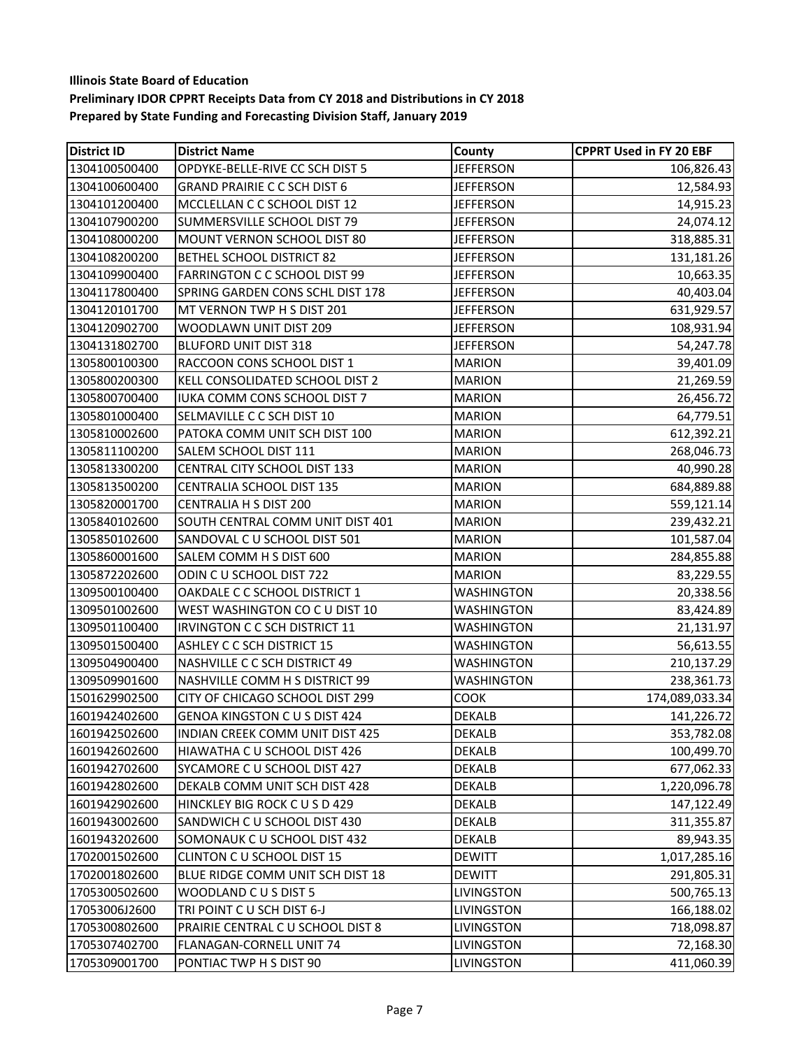| <b>District ID</b> | <b>District Name</b>                   | County            | <b>CPPRT Used in FY 20 EBF</b> |
|--------------------|----------------------------------------|-------------------|--------------------------------|
| 1304100500400      | OPDYKE-BELLE-RIVE CC SCH DIST 5        | <b>JEFFERSON</b>  | 106,826.43                     |
| 1304100600400      | <b>GRAND PRAIRIE C C SCH DIST 6</b>    | <b>JEFFERSON</b>  | 12,584.93                      |
| 1304101200400      | MCCLELLAN C C SCHOOL DIST 12           | <b>JEFFERSON</b>  | 14,915.23                      |
| 1304107900200      | SUMMERSVILLE SCHOOL DIST 79            | <b>JEFFERSON</b>  | 24,074.12                      |
| 1304108000200      | MOUNT VERNON SCHOOL DIST 80            | <b>JEFFERSON</b>  | 318,885.31                     |
| 1304108200200      | <b>BETHEL SCHOOL DISTRICT 82</b>       | <b>JEFFERSON</b>  | 131,181.26                     |
| 1304109900400      | FARRINGTON C C SCHOOL DIST 99          | <b>JEFFERSON</b>  | 10,663.35                      |
| 1304117800400      | SPRING GARDEN CONS SCHL DIST 178       | <b>JEFFERSON</b>  | 40,403.04                      |
| 1304120101700      | MT VERNON TWP H S DIST 201             | <b>JEFFERSON</b>  | 631,929.57                     |
| 1304120902700      | WOODLAWN UNIT DIST 209                 | <b>JEFFERSON</b>  | 108,931.94                     |
| 1304131802700      | <b>BLUFORD UNIT DIST 318</b>           | <b>JEFFERSON</b>  | 54,247.78                      |
| 1305800100300      | RACCOON CONS SCHOOL DIST 1             | <b>MARION</b>     | 39,401.09                      |
| 1305800200300      | KELL CONSOLIDATED SCHOOL DIST 2        | <b>MARION</b>     | 21,269.59                      |
| 1305800700400      | IUKA COMM CONS SCHOOL DIST 7           | <b>MARION</b>     | 26,456.72                      |
| 1305801000400      | SELMAVILLE C C SCH DIST 10             | <b>MARION</b>     | 64,779.51                      |
| 1305810002600      | PATOKA COMM UNIT SCH DIST 100          | <b>MARION</b>     | 612,392.21                     |
| 1305811100200      | SALEM SCHOOL DIST 111                  | <b>MARION</b>     | 268,046.73                     |
| 1305813300200      | CENTRAL CITY SCHOOL DIST 133           | <b>MARION</b>     | 40,990.28                      |
| 1305813500200      | CENTRALIA SCHOOL DIST 135              | <b>MARION</b>     | 684,889.88                     |
| 1305820001700      | CENTRALIA H S DIST 200                 | <b>MARION</b>     | 559,121.14                     |
| 1305840102600      | SOUTH CENTRAL COMM UNIT DIST 401       | <b>MARION</b>     | 239,432.21                     |
| 1305850102600      | SANDOVAL C U SCHOOL DIST 501           | <b>MARION</b>     | 101,587.04                     |
| 1305860001600      | SALEM COMM H S DIST 600                | <b>MARION</b>     | 284,855.88                     |
| 1305872202600      | ODIN C U SCHOOL DIST 722               | <b>MARION</b>     | 83,229.55                      |
| 1309500100400      | OAKDALE C C SCHOOL DISTRICT 1          | <b>WASHINGTON</b> | 20,338.56                      |
| 1309501002600      | WEST WASHINGTON CO C U DIST 10         | <b>WASHINGTON</b> | 83,424.89                      |
| 1309501100400      | IRVINGTON C C SCH DISTRICT 11          | <b>WASHINGTON</b> | 21,131.97                      |
| 1309501500400      | ASHLEY C C SCH DISTRICT 15             | WASHINGTON        | 56,613.55                      |
| 1309504900400      | NASHVILLE C C SCH DISTRICT 49          | <b>WASHINGTON</b> | 210,137.29                     |
| 1309509901600      | NASHVILLE COMM H S DISTRICT 99         | <b>WASHINGTON</b> | 238,361.73                     |
| 1501629902500      | CITY OF CHICAGO SCHOOL DIST 299        | COOK              | 174,089,033.34                 |
| 1601942402600      | <b>GENOA KINGSTON C U S DIST 424</b>   | <b>DEKALB</b>     | 141,226.72                     |
| 1601942502600      | <b>INDIAN CREEK COMM UNIT DIST 425</b> | <b>DEKALB</b>     | 353,782.08                     |
| 1601942602600      | HIAWATHA C U SCHOOL DIST 426           | <b>DEKALB</b>     | 100,499.70                     |
| 1601942702600      | SYCAMORE C U SCHOOL DIST 427           | <b>DEKALB</b>     | 677,062.33                     |
| 1601942802600      | DEKALB COMM UNIT SCH DIST 428          | <b>DEKALB</b>     | 1,220,096.78                   |
| 1601942902600      | HINCKLEY BIG ROCK CUSD 429             | <b>DEKALB</b>     | 147,122.49                     |
| 1601943002600      | SANDWICH C U SCHOOL DIST 430           | <b>DEKALB</b>     | 311,355.87                     |
| 1601943202600      | SOMONAUK C U SCHOOL DIST 432           | <b>DEKALB</b>     | 89,943.35                      |
| 1702001502600      | CLINTON C U SCHOOL DIST 15             | <b>DEWITT</b>     | 1,017,285.16                   |
| 1702001802600      | BLUE RIDGE COMM UNIT SCH DIST 18       | <b>DEWITT</b>     | 291,805.31                     |
| 1705300502600      | WOODLAND CUS DIST 5                    | LIVINGSTON        | 500,765.13                     |
| 17053006J2600      | TRI POINT CU SCH DIST 6-J              | LIVINGSTON        | 166,188.02                     |
| 1705300802600      | PRAIRIE CENTRAL C U SCHOOL DIST 8      | LIVINGSTON        | 718,098.87                     |
| 1705307402700      | FLANAGAN-CORNELL UNIT 74               | LIVINGSTON        | 72,168.30                      |
| 1705309001700      | PONTIAC TWP H S DIST 90                | LIVINGSTON        | 411,060.39                     |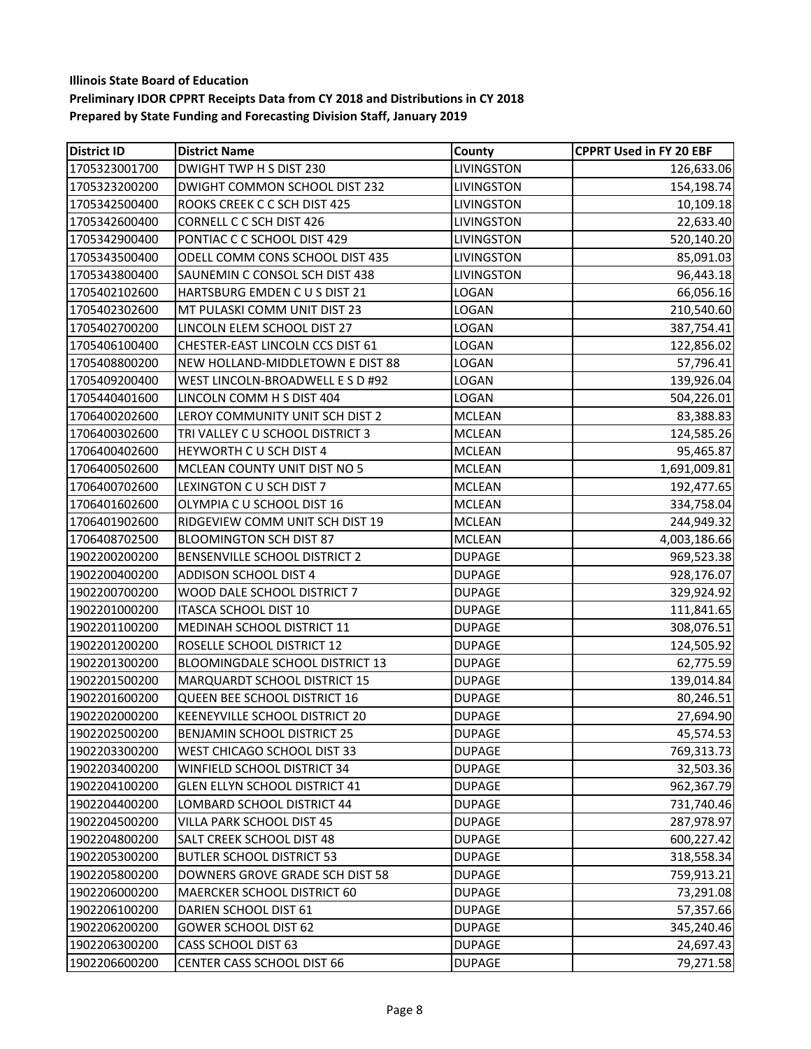# **Illinois State Board of Education**

#### **Preliminary IDOR CPPRT Receipts Data from CY 2018 and Distributions in CY 2018 Prepared by State Funding and Forecasting Division Staff, January 2019**

| <b>District ID</b> | <b>District Name</b>               | County            | <b>CPPRT Used in FY 20 EBF</b> |
|--------------------|------------------------------------|-------------------|--------------------------------|
| 1705323001700      | DWIGHT TWP H S DIST 230            | LIVINGSTON        | 126,633.06                     |
| 1705323200200      | DWIGHT COMMON SCHOOL DIST 232      | LIVINGSTON        | 154,198.74                     |
| 1705342500400      | ROOKS CREEK C C SCH DIST 425       | LIVINGSTON        | 10,109.18                      |
| 1705342600400      | CORNELL C C SCH DIST 426           | LIVINGSTON        | 22,633.40                      |
| 1705342900400      | PONTIAC C C SCHOOL DIST 429        | LIVINGSTON        | 520,140.20                     |
| 1705343500400      | ODELL COMM CONS SCHOOL DIST 435    | LIVINGSTON        | 85,091.03                      |
| 1705343800400      | SAUNEMIN C CONSOL SCH DIST 438     | <b>LIVINGSTON</b> | 96,443.18                      |
| 1705402102600      | HARTSBURG EMDEN CUS DIST 21        | <b>LOGAN</b>      | 66,056.16                      |
| 1705402302600      | MT PULASKI COMM UNIT DIST 23       | LOGAN             | 210,540.60                     |
| 1705402700200      | LINCOLN ELEM SCHOOL DIST 27        | LOGAN             | 387,754.41                     |
| 1705406100400      | CHESTER-EAST LINCOLN CCS DIST 61   | LOGAN             | 122,856.02                     |
| 1705408800200      | NEW HOLLAND-MIDDLETOWN E DIST 88   | LOGAN             | 57,796.41                      |
| 1705409200400      | WEST LINCOLN-BROADWELL E S D #92   | LOGAN             | 139,926.04                     |
| 1705440401600      | LINCOLN COMM H S DIST 404          | LOGAN             | 504,226.01                     |
| 1706400202600      | LEROY COMMUNITY UNIT SCH DIST 2    | <b>MCLEAN</b>     | 83,388.83                      |
| 1706400302600      | TRI VALLEY C U SCHOOL DISTRICT 3   | <b>MCLEAN</b>     | 124,585.26                     |
| 1706400402600      | HEYWORTH C U SCH DIST 4            | <b>MCLEAN</b>     | 95,465.87                      |
| 1706400502600      | MCLEAN COUNTY UNIT DIST NO 5       | <b>MCLEAN</b>     | 1,691,009.81                   |
| 1706400702600      | LEXINGTON C U SCH DIST 7           | <b>MCLEAN</b>     | 192,477.65                     |
| 1706401602600      | OLYMPIA C U SCHOOL DIST 16         | <b>MCLEAN</b>     | 334,758.04                     |
| 1706401902600      | RIDGEVIEW COMM UNIT SCH DIST 19    | <b>MCLEAN</b>     | 244,949.32                     |
| 1706408702500      | <b>BLOOMINGTON SCH DIST 87</b>     | <b>MCLEAN</b>     | 4,003,186.66                   |
| 1902200200200      | BENSENVILLE SCHOOL DISTRICT 2      | <b>DUPAGE</b>     | 969,523.38                     |
| 1902200400200      | ADDISON SCHOOL DIST 4              | <b>DUPAGE</b>     | 928,176.07                     |
| 1902200700200      | WOOD DALE SCHOOL DISTRICT 7        | <b>DUPAGE</b>     | 329,924.92                     |
| 1902201000200      | ITASCA SCHOOL DIST 10              | <b>DUPAGE</b>     | 111,841.65                     |
| 1902201100200      | MEDINAH SCHOOL DISTRICT 11         | <b>DUPAGE</b>     | 308,076.51                     |
| 1902201200200      | ROSELLE SCHOOL DISTRICT 12         | <b>DUPAGE</b>     | 124,505.92                     |
| 1902201300200      | BLOOMINGDALE SCHOOL DISTRICT 13    | <b>DUPAGE</b>     | 62,775.59                      |
| 1902201500200      | MARQUARDT SCHOOL DISTRICT 15       | <b>DUPAGE</b>     | 139,014.84                     |
| 1902201600200      | QUEEN BEE SCHOOL DISTRICT 16       | <b>DUPAGE</b>     | 80,246.51                      |
| 1902202000200      | KEENEYVILLE SCHOOL DISTRICT 20     | <b>DUPAGE</b>     | 27,694.90                      |
| 1902202500200      | <b>BENJAMIN SCHOOL DISTRICT 25</b> | <b>DUPAGE</b>     | 45,574.53                      |
| 1902203300200      | WEST CHICAGO SCHOOL DIST 33        | <b>DUPAGE</b>     | 769,313.73                     |
| 1902203400200      | WINFIELD SCHOOL DISTRICT 34        | <b>DUPAGE</b>     | 32,503.36                      |
| 1902204100200      | GLEN ELLYN SCHOOL DISTRICT 41      | <b>DUPAGE</b>     | 962,367.79                     |
| 1902204400200      | LOMBARD SCHOOL DISTRICT 44         | <b>DUPAGE</b>     | 731,740.46                     |
| 1902204500200      | VILLA PARK SCHOOL DIST 45          | <b>DUPAGE</b>     | 287,978.97                     |
| 1902204800200      | SALT CREEK SCHOOL DIST 48          | <b>DUPAGE</b>     | 600,227.42                     |
| 1902205300200      | <b>BUTLER SCHOOL DISTRICT 53</b>   | <b>DUPAGE</b>     | 318,558.34                     |
| 1902205800200      | DOWNERS GROVE GRADE SCH DIST 58    | <b>DUPAGE</b>     | 759,913.21                     |
| 1902206000200      | MAERCKER SCHOOL DISTRICT 60        | <b>DUPAGE</b>     | 73,291.08                      |
| 1902206100200      | DARIEN SCHOOL DIST 61              | <b>DUPAGE</b>     | 57,357.66                      |
| 1902206200200      | <b>GOWER SCHOOL DIST 62</b>        | <b>DUPAGE</b>     | 345,240.46                     |
| 1902206300200      | CASS SCHOOL DIST 63                | <b>DUPAGE</b>     | 24,697.43                      |
| 1902206600200      | CENTER CASS SCHOOL DIST 66         | <b>DUPAGE</b>     | 79,271.58                      |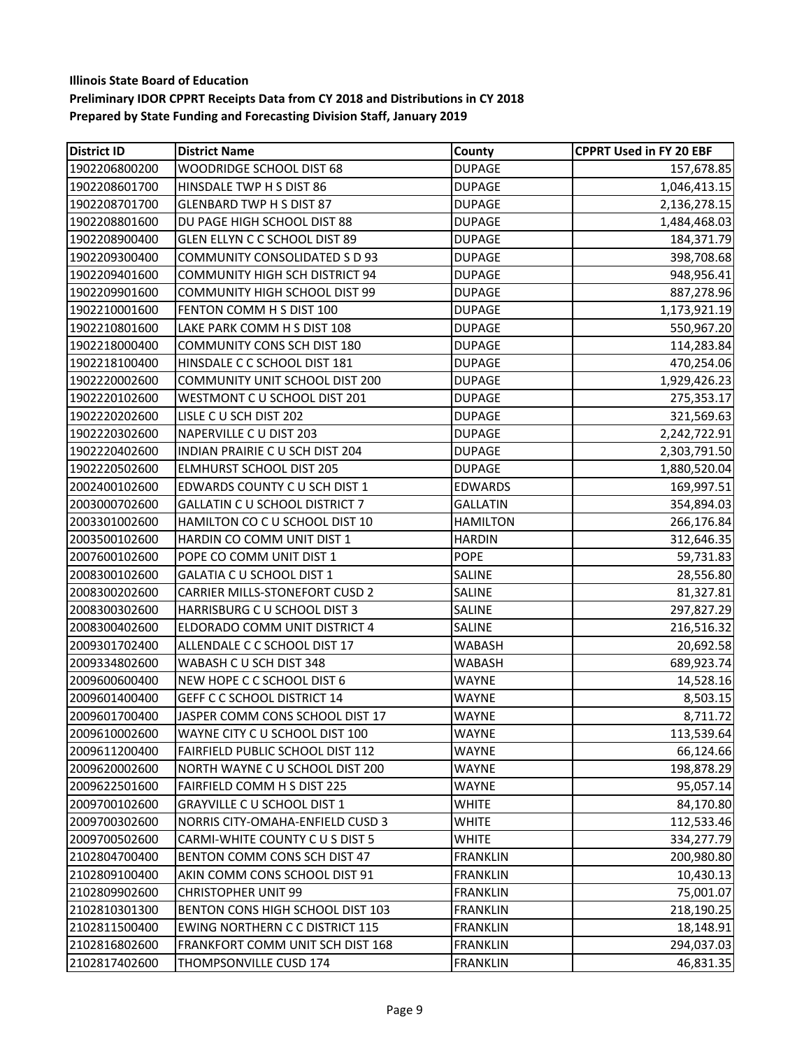| <b>District ID</b> | <b>District Name</b>                   | County          | <b>CPPRT Used in FY 20 EBF</b> |
|--------------------|----------------------------------------|-----------------|--------------------------------|
| 1902206800200      | WOODRIDGE SCHOOL DIST 68               | <b>DUPAGE</b>   | 157,678.85                     |
| 1902208601700      | HINSDALE TWP H S DIST 86               | <b>DUPAGE</b>   | 1,046,413.15                   |
| 1902208701700      | <b>GLENBARD TWP H S DIST 87</b>        | <b>DUPAGE</b>   | 2,136,278.15                   |
| 1902208801600      | DU PAGE HIGH SCHOOL DIST 88            | <b>DUPAGE</b>   | 1,484,468.03                   |
| 1902208900400      | GLEN ELLYN C C SCHOOL DIST 89          | <b>DUPAGE</b>   | 184,371.79                     |
| 1902209300400      | <b>COMMUNITY CONSOLIDATED S D 93</b>   | <b>DUPAGE</b>   | 398,708.68                     |
| 1902209401600      | <b>COMMUNITY HIGH SCH DISTRICT 94</b>  | <b>DUPAGE</b>   | 948,956.41                     |
| 1902209901600      | COMMUNITY HIGH SCHOOL DIST 99          | <b>DUPAGE</b>   | 887,278.96                     |
| 1902210001600      | FENTON COMM H S DIST 100               | <b>DUPAGE</b>   | 1,173,921.19                   |
| 1902210801600      | LAKE PARK COMM H S DIST 108            | <b>DUPAGE</b>   | 550,967.20                     |
| 1902218000400      | COMMUNITY CONS SCH DIST 180            | <b>DUPAGE</b>   | 114,283.84                     |
| 1902218100400      | HINSDALE C C SCHOOL DIST 181           | <b>DUPAGE</b>   | 470,254.06                     |
| 1902220002600      | COMMUNITY UNIT SCHOOL DIST 200         | <b>DUPAGE</b>   | 1,929,426.23                   |
| 1902220102600      | WESTMONT C U SCHOOL DIST 201           | <b>DUPAGE</b>   | 275,353.17                     |
| 1902220202600      | LISLE C U SCH DIST 202                 | <b>DUPAGE</b>   | 321,569.63                     |
| 1902220302600      | NAPERVILLE C U DIST 203                | <b>DUPAGE</b>   | 2,242,722.91                   |
| 1902220402600      | INDIAN PRAIRIE C U SCH DIST 204        | <b>DUPAGE</b>   | 2,303,791.50                   |
| 1902220502600      | <b>ELMHURST SCHOOL DIST 205</b>        | <b>DUPAGE</b>   | 1,880,520.04                   |
| 2002400102600      | EDWARDS COUNTY C U SCH DIST 1          | <b>EDWARDS</b>  | 169,997.51                     |
| 2003000702600      | <b>GALLATIN C U SCHOOL DISTRICT 7</b>  | <b>GALLATIN</b> | 354,894.03                     |
| 2003301002600      | HAMILTON CO C U SCHOOL DIST 10         | <b>HAMILTON</b> | 266,176.84                     |
| 2003500102600      | HARDIN CO COMM UNIT DIST 1             | <b>HARDIN</b>   | 312,646.35                     |
| 2007600102600      | POPE CO COMM UNIT DIST 1               | <b>POPE</b>     | 59,731.83                      |
| 2008300102600      | GALATIA C U SCHOOL DIST 1              | <b>SALINE</b>   | 28,556.80                      |
| 2008300202600      | <b>CARRIER MILLS-STONEFORT CUSD 2</b>  | <b>SALINE</b>   | 81,327.81                      |
| 2008300302600      | HARRISBURG C U SCHOOL DIST 3           | <b>SALINE</b>   | 297,827.29                     |
| 2008300402600      | ELDORADO COMM UNIT DISTRICT 4          | <b>SALINE</b>   | 216,516.32                     |
| 2009301702400      | ALLENDALE C C SCHOOL DIST 17           | <b>WABASH</b>   | 20,692.58                      |
| 2009334802600      | WABASH C U SCH DIST 348                | <b>WABASH</b>   | 689,923.74                     |
| 2009600600400      | NEW HOPE C C SCHOOL DIST 6             | <b>WAYNE</b>    | 14,528.16                      |
| 2009601400400      | <b>GEFF C C SCHOOL DISTRICT 14</b>     | <b>WAYNE</b>    | 8,503.15                       |
| 2009601700400      | JASPER COMM CONS SCHOOL DIST 17        | WAYNE           | 8,711.72                       |
| 2009610002600      | WAYNE CITY C U SCHOOL DIST 100         | <b>WAYNE</b>    | 113,539.64                     |
| 2009611200400      | FAIRFIELD PUBLIC SCHOOL DIST 112       | <b>WAYNE</b>    | 66,124.66                      |
| 2009620002600      | NORTH WAYNE C U SCHOOL DIST 200        | <b>WAYNE</b>    | 198,878.29                     |
| 2009622501600      | FAIRFIELD COMM H S DIST 225            | WAYNE           | 95,057.14                      |
| 2009700102600      | GRAYVILLE C U SCHOOL DIST 1            | <b>WHITE</b>    | 84,170.80                      |
| 2009700302600      | NORRIS CITY-OMAHA-ENFIELD CUSD 3       | WHITE           | 112,533.46                     |
| 2009700502600      | CARMI-WHITE COUNTY C U S DIST 5        | <b>WHITE</b>    | 334,277.79                     |
| 2102804700400      | BENTON COMM CONS SCH DIST 47           | <b>FRANKLIN</b> | 200,980.80                     |
| 2102809100400      | AKIN COMM CONS SCHOOL DIST 91          | <b>FRANKLIN</b> | 10,430.13                      |
| 2102809902600      | <b>CHRISTOPHER UNIT 99</b>             | <b>FRANKLIN</b> | 75,001.07                      |
| 2102810301300      | BENTON CONS HIGH SCHOOL DIST 103       | <b>FRANKLIN</b> | 218,190.25                     |
| 2102811500400      | <b>EWING NORTHERN C C DISTRICT 115</b> | <b>FRANKLIN</b> | 18,148.91                      |
| 2102816802600      | FRANKFORT COMM UNIT SCH DIST 168       | <b>FRANKLIN</b> | 294,037.03                     |
| 2102817402600      | THOMPSONVILLE CUSD 174                 | <b>FRANKLIN</b> | 46,831.35                      |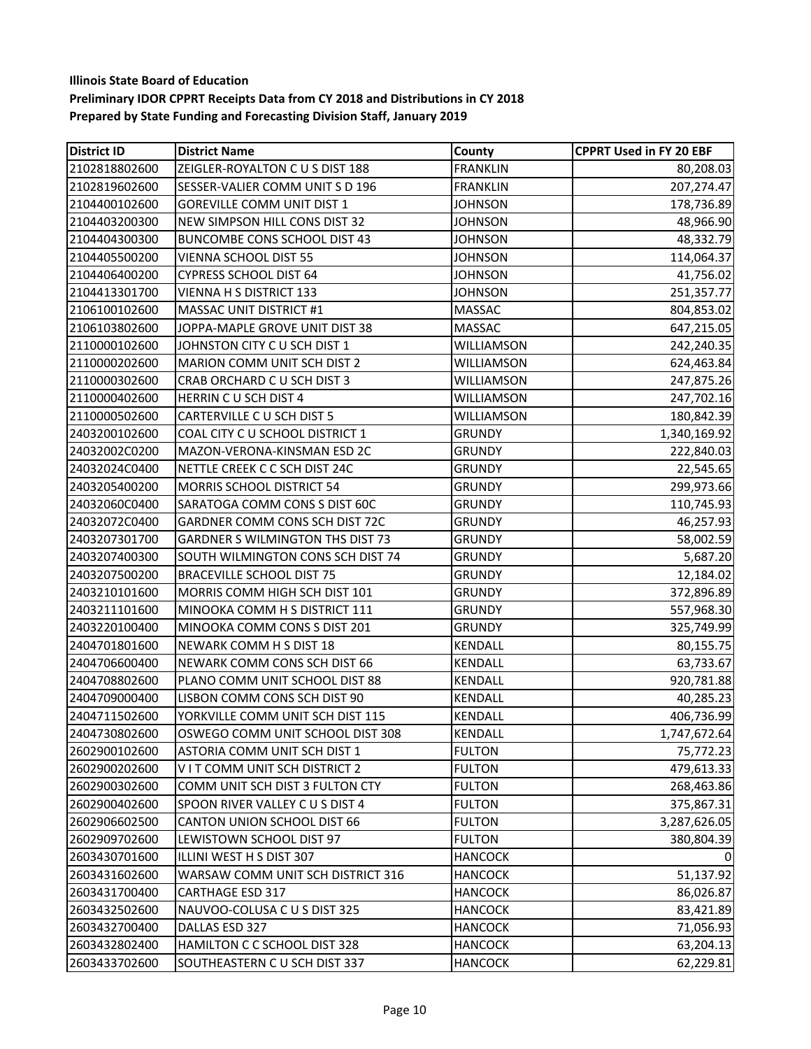| <b>District ID</b> | <b>District Name</b>                    | County            | <b>CPPRT Used in FY 20 EBF</b> |
|--------------------|-----------------------------------------|-------------------|--------------------------------|
| 2102818802600      | ZEIGLER-ROYALTON C U S DIST 188         | <b>FRANKLIN</b>   | 80,208.03                      |
| 2102819602600      | SESSER-VALIER COMM UNIT S D 196         | <b>FRANKLIN</b>   | 207,274.47                     |
| 2104400102600      | <b>GOREVILLE COMM UNIT DIST 1</b>       | <b>JOHNSON</b>    | 178,736.89                     |
| 2104403200300      | NEW SIMPSON HILL CONS DIST 32           | <b>JOHNSON</b>    | 48,966.90                      |
| 2104404300300      | <b>BUNCOMBE CONS SCHOOL DIST 43</b>     | <b>JOHNSON</b>    | 48,332.79                      |
| 2104405500200      | VIENNA SCHOOL DIST 55                   | <b>JOHNSON</b>    | 114,064.37                     |
| 2104406400200      | CYPRESS SCHOOL DIST 64                  | <b>JOHNSON</b>    | 41,756.02                      |
| 2104413301700      | <b>VIENNA H S DISTRICT 133</b>          | JOHNSON           | 251,357.77                     |
| 2106100102600      | MASSAC UNIT DISTRICT #1                 | MASSAC            | 804,853.02                     |
| 2106103802600      | JOPPA-MAPLE GROVE UNIT DIST 38          | <b>MASSAC</b>     | 647,215.05                     |
| 2110000102600      | JOHNSTON CITY C U SCH DIST 1            | <b>WILLIAMSON</b> | 242,240.35                     |
| 2110000202600      | MARION COMM UNIT SCH DIST 2             | WILLIAMSON        | 624,463.84                     |
| 2110000302600      | CRAB ORCHARD C U SCH DIST 3             | WILLIAMSON        | 247,875.26                     |
| 2110000402600      | HERRIN CU SCH DIST 4                    | WILLIAMSON        | 247,702.16                     |
| 2110000502600      | CARTERVILLE C U SCH DIST 5              | WILLIAMSON        | 180,842.39                     |
| 2403200102600      | COAL CITY C U SCHOOL DISTRICT 1         | <b>GRUNDY</b>     | 1,340,169.92                   |
| 24032002C0200      | MAZON-VERONA-KINSMAN ESD 2C             | <b>GRUNDY</b>     | 222,840.03                     |
| 24032024C0400      | NETTLE CREEK C C SCH DIST 24C           | <b>GRUNDY</b>     | 22,545.65                      |
| 2403205400200      | MORRIS SCHOOL DISTRICT 54               | <b>GRUNDY</b>     | 299,973.66                     |
| 24032060C0400      | SARATOGA COMM CONS S DIST 60C           | <b>GRUNDY</b>     | 110,745.93                     |
| 24032072C0400      | GARDNER COMM CONS SCH DIST 72C          | <b>GRUNDY</b>     | 46,257.93                      |
| 2403207301700      | <b>GARDNER S WILMINGTON THS DIST 73</b> | <b>GRUNDY</b>     | 58,002.59                      |
| 2403207400300      | SOUTH WILMINGTON CONS SCH DIST 74       | <b>GRUNDY</b>     | 5,687.20                       |
| 2403207500200      | <b>BRACEVILLE SCHOOL DIST 75</b>        | <b>GRUNDY</b>     | 12,184.02                      |
| 2403210101600      | MORRIS COMM HIGH SCH DIST 101           | <b>GRUNDY</b>     | 372,896.89                     |
| 2403211101600      | MINOOKA COMM H S DISTRICT 111           | <b>GRUNDY</b>     | 557,968.30                     |
| 2403220100400      | MINOOKA COMM CONS S DIST 201            | <b>GRUNDY</b>     | 325,749.99                     |
| 2404701801600      | NEWARK COMM H S DIST 18                 | KENDALL           | 80,155.75                      |
| 2404706600400      | NEWARK COMM CONS SCH DIST 66            | KENDALL           | 63,733.67                      |
| 2404708802600      | PLANO COMM UNIT SCHOOL DIST 88          | KENDALL           | 920,781.88                     |
| 2404709000400      | LISBON COMM CONS SCH DIST 90            | KENDALL           | 40,285.23                      |
| 2404711502600      | YORKVILLE COMM UNIT SCH DIST 115        | KENDALL           | 406,736.99                     |
| 2404730802600      | OSWEGO COMM UNIT SCHOOL DIST 308        | KENDALL           | 1,747,672.64                   |
| 2602900102600      | ASTORIA COMM UNIT SCH DIST 1            | <b>FULTON</b>     | 75,772.23                      |
| 2602900202600      | VIT COMM UNIT SCH DISTRICT 2            | <b>FULTON</b>     | 479,613.33                     |
| 2602900302600      | COMM UNIT SCH DIST 3 FULTON CTY         | <b>FULTON</b>     | 268,463.86                     |
| 2602900402600      | SPOON RIVER VALLEY C U S DIST 4         | <b>FULTON</b>     | 375,867.31                     |
| 2602906602500      | CANTON UNION SCHOOL DIST 66             | <b>FULTON</b>     | 3,287,626.05                   |
| 2602909702600      | LEWISTOWN SCHOOL DIST 97                | <b>FULTON</b>     | 380,804.39                     |
| 2603430701600      | ILLINI WEST H S DIST 307                | <b>HANCOCK</b>    |                                |
| 2603431602600      | WARSAW COMM UNIT SCH DISTRICT 316       | <b>HANCOCK</b>    | 51,137.92                      |
| 2603431700400      | <b>CARTHAGE ESD 317</b>                 | <b>HANCOCK</b>    | 86,026.87                      |
| 2603432502600      | NAUVOO-COLUSA C U S DIST 325            | <b>HANCOCK</b>    | 83,421.89                      |
| 2603432700400      | DALLAS ESD 327                          | <b>HANCOCK</b>    | 71,056.93                      |
| 2603432802400      | HAMILTON C C SCHOOL DIST 328            | <b>HANCOCK</b>    | 63,204.13                      |
| 2603433702600      | SOUTHEASTERN C U SCH DIST 337           | <b>HANCOCK</b>    | 62,229.81                      |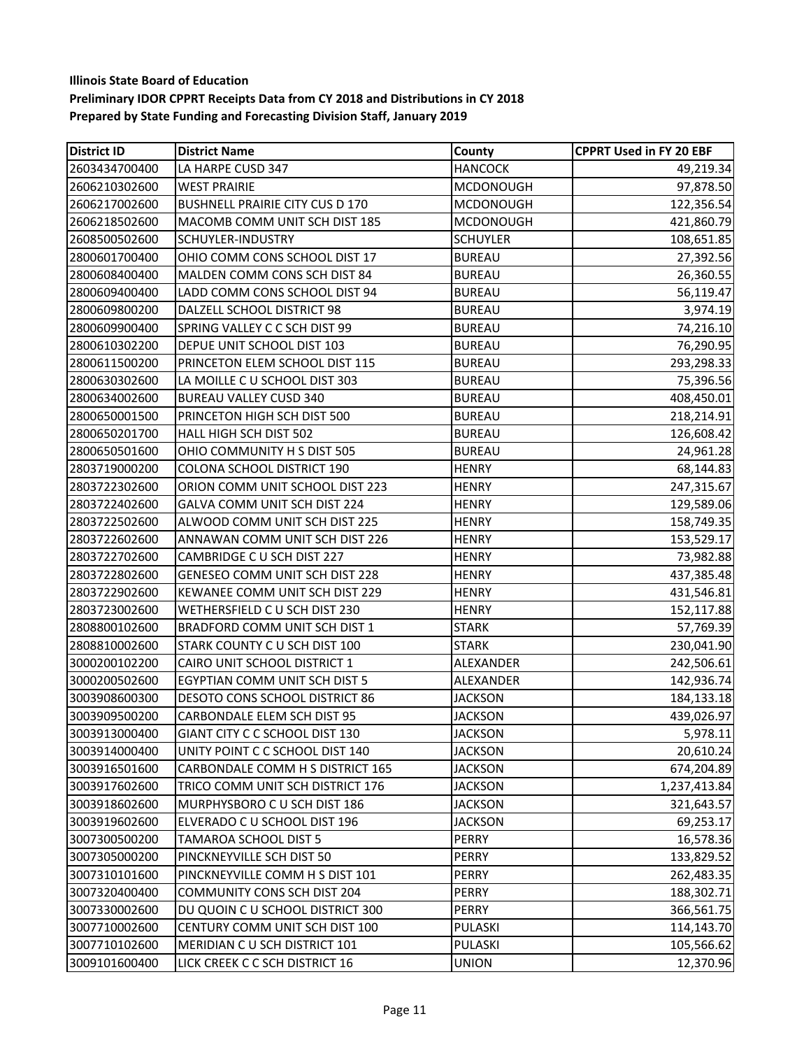| <b>District ID</b> | <b>District Name</b>                   | County           | <b>CPPRT Used in FY 20 EBF</b> |
|--------------------|----------------------------------------|------------------|--------------------------------|
| 2603434700400      | LA HARPE CUSD 347                      | <b>HANCOCK</b>   | 49,219.34                      |
| 2606210302600      | <b>WEST PRAIRIE</b>                    | <b>MCDONOUGH</b> | 97,878.50                      |
| 2606217002600      | <b>BUSHNELL PRAIRIE CITY CUS D 170</b> | <b>MCDONOUGH</b> | 122,356.54                     |
| 2606218502600      | MACOMB COMM UNIT SCH DIST 185          | <b>MCDONOUGH</b> | 421,860.79                     |
| 2608500502600      | SCHUYLER-INDUSTRY                      | <b>SCHUYLER</b>  | 108,651.85                     |
| 2800601700400      | OHIO COMM CONS SCHOOL DIST 17          | <b>BUREAU</b>    | 27,392.56                      |
| 2800608400400      | MALDEN COMM CONS SCH DIST 84           | <b>BUREAU</b>    | 26,360.55                      |
| 2800609400400      | LADD COMM CONS SCHOOL DIST 94          | <b>BUREAU</b>    | 56,119.47                      |
| 2800609800200      | DALZELL SCHOOL DISTRICT 98             | <b>BUREAU</b>    | 3,974.19                       |
| 2800609900400      | SPRING VALLEY C C SCH DIST 99          | <b>BUREAU</b>    | 74,216.10                      |
| 2800610302200      | DEPUE UNIT SCHOOL DIST 103             | <b>BUREAU</b>    | 76,290.95                      |
| 2800611500200      | PRINCETON ELEM SCHOOL DIST 115         | <b>BUREAU</b>    | 293,298.33                     |
| 2800630302600      | LA MOILLE C U SCHOOL DIST 303          | <b>BUREAU</b>    | 75,396.56                      |
| 2800634002600      | <b>BUREAU VALLEY CUSD 340</b>          | <b>BUREAU</b>    | 408,450.01                     |
| 2800650001500      | PRINCETON HIGH SCH DIST 500            | <b>BUREAU</b>    | 218,214.91                     |
| 2800650201700      | HALL HIGH SCH DIST 502                 | <b>BUREAU</b>    | 126,608.42                     |
| 2800650501600      | OHIO COMMUNITY H S DIST 505            | <b>BUREAU</b>    | 24,961.28                      |
| 2803719000200      | <b>COLONA SCHOOL DISTRICT 190</b>      | <b>HENRY</b>     | 68,144.83                      |
| 2803722302600      | ORION COMM UNIT SCHOOL DIST 223        | <b>HENRY</b>     | 247,315.67                     |
| 2803722402600      | GALVA COMM UNIT SCH DIST 224           | <b>HENRY</b>     | 129,589.06                     |
| 2803722502600      | ALWOOD COMM UNIT SCH DIST 225          | <b>HENRY</b>     | 158,749.35                     |
| 2803722602600      | ANNAWAN COMM UNIT SCH DIST 226         | <b>HENRY</b>     | 153,529.17                     |
| 2803722702600      | CAMBRIDGE C U SCH DIST 227             | <b>HENRY</b>     | 73,982.88                      |
| 2803722802600      | GENESEO COMM UNIT SCH DIST 228         | <b>HENRY</b>     | 437,385.48                     |
| 2803722902600      | KEWANEE COMM UNIT SCH DIST 229         | <b>HENRY</b>     | 431,546.81                     |
| 2803723002600      | WETHERSFIELD C U SCH DIST 230          | <b>HENRY</b>     | 152,117.88                     |
| 2808800102600      | BRADFORD COMM UNIT SCH DIST 1          | <b>STARK</b>     | 57,769.39                      |
| 2808810002600      | STARK COUNTY C U SCH DIST 100          | STARK            | 230,041.90                     |
| 3000200102200      | CAIRO UNIT SCHOOL DISTRICT 1           | ALEXANDER        | 242,506.61                     |
| 3000200502600      | EGYPTIAN COMM UNIT SCH DIST 5          | ALEXANDER        | 142,936.74                     |
| 3003908600300      | DESOTO CONS SCHOOL DISTRICT 86         | <b>JACKSON</b>   | 184,133.18                     |
| 3003909500200      | CARBONDALE ELEM SCH DIST 95            | <b>JACKSON</b>   | 439,026.97                     |
| 3003913000400      | GIANT CITY C C SCHOOL DIST 130         | <b>JACKSON</b>   | 5,978.11                       |
| 3003914000400      | UNITY POINT C C SCHOOL DIST 140        | <b>JACKSON</b>   | 20,610.24                      |
| 3003916501600      | CARBONDALE COMM H S DISTRICT 165       | <b>JACKSON</b>   | 674,204.89                     |
| 3003917602600      | TRICO COMM UNIT SCH DISTRICT 176       | <b>JACKSON</b>   | 1,237,413.84                   |
| 3003918602600      | MURPHYSBORO C U SCH DIST 186           | <b>JACKSON</b>   | 321,643.57                     |
| 3003919602600      | ELVERADO C U SCHOOL DIST 196           | <b>JACKSON</b>   | 69,253.17                      |
| 3007300500200      | TAMAROA SCHOOL DIST 5                  | PERRY            | 16,578.36                      |
| 3007305000200      | PINCKNEYVILLE SCH DIST 50              | PERRY            | 133,829.52                     |
| 3007310101600      | PINCKNEYVILLE COMM H S DIST 101        | PERRY            | 262,483.35                     |
| 3007320400400      | COMMUNITY CONS SCH DIST 204            | PERRY            | 188,302.71                     |
| 3007330002600      | DU QUOIN C U SCHOOL DISTRICT 300       | PERRY            | 366,561.75                     |
| 3007710002600      | CENTURY COMM UNIT SCH DIST 100         | PULASKI          | 114,143.70                     |
| 3007710102600      | MERIDIAN C U SCH DISTRICT 101          | PULASKI          | 105,566.62                     |
| 3009101600400      | LICK CREEK C C SCH DISTRICT 16         | <b>UNION</b>     | 12,370.96                      |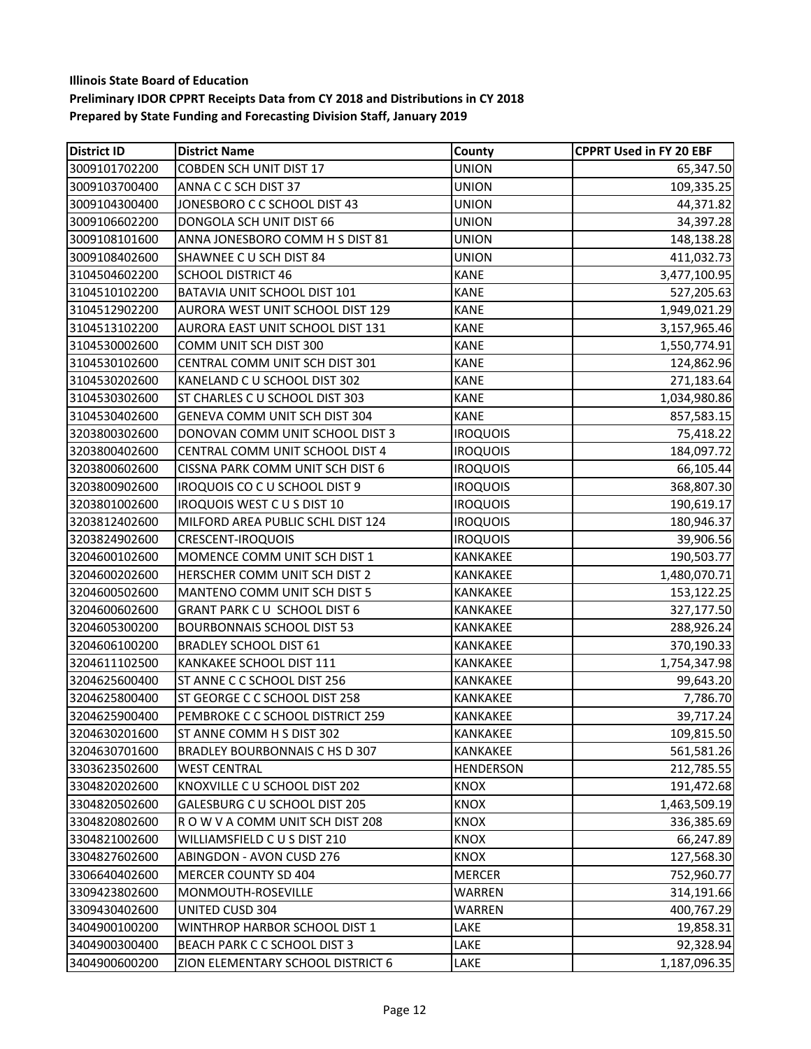| <b>District ID</b> | <b>District Name</b>               | County           | <b>CPPRT Used in FY 20 EBF</b> |
|--------------------|------------------------------------|------------------|--------------------------------|
| 3009101702200      | <b>COBDEN SCH UNIT DIST 17</b>     | <b>UNION</b>     | 65,347.50                      |
| 3009103700400      | ANNA C C SCH DIST 37               | <b>UNION</b>     | 109,335.25                     |
| 3009104300400      | JONESBORO C C SCHOOL DIST 43       | <b>UNION</b>     | 44,371.82                      |
| 3009106602200      | DONGOLA SCH UNIT DIST 66           | <b>UNION</b>     | 34,397.28                      |
| 3009108101600      | ANNA JONESBORO COMM H S DIST 81    | <b>UNION</b>     | 148,138.28                     |
| 3009108402600      | SHAWNEE CU SCH DIST 84             | <b>UNION</b>     | 411,032.73                     |
| 3104504602200      | <b>SCHOOL DISTRICT 46</b>          | <b>KANE</b>      | 3,477,100.95                   |
| 3104510102200      | BATAVIA UNIT SCHOOL DIST 101       | <b>KANE</b>      | 527,205.63                     |
| 3104512902200      | AURORA WEST UNIT SCHOOL DIST 129   | <b>KANE</b>      | 1,949,021.29                   |
| 3104513102200      | AURORA EAST UNIT SCHOOL DIST 131   | <b>KANE</b>      | 3,157,965.46                   |
| 3104530002600      | COMM UNIT SCH DIST 300             | <b>KANE</b>      | 1,550,774.91                   |
| 3104530102600      | CENTRAL COMM UNIT SCH DIST 301     | <b>KANE</b>      | 124,862.96                     |
| 3104530202600      | KANELAND C U SCHOOL DIST 302       | <b>KANE</b>      | 271,183.64                     |
| 3104530302600      | ST CHARLES C U SCHOOL DIST 303     | <b>KANE</b>      | 1,034,980.86                   |
| 3104530402600      | GENEVA COMM UNIT SCH DIST 304      | <b>KANE</b>      | 857,583.15                     |
| 3203800302600      | DONOVAN COMM UNIT SCHOOL DIST 3    | <b>IROQUOIS</b>  | 75,418.22                      |
| 3203800402600      | CENTRAL COMM UNIT SCHOOL DIST 4    | <b>IROQUOIS</b>  | 184,097.72                     |
| 3203800602600      | CISSNA PARK COMM UNIT SCH DIST 6   | <b>IROQUOIS</b>  | 66,105.44                      |
| 3203800902600      | IROQUOIS CO C U SCHOOL DIST 9      | <b>IROQUOIS</b>  | 368,807.30                     |
| 3203801002600      | IROQUOIS WEST CUS DIST 10          | <b>IROQUOIS</b>  | 190,619.17                     |
| 3203812402600      | MILFORD AREA PUBLIC SCHL DIST 124  | <b>IROQUOIS</b>  | 180,946.37                     |
| 3203824902600      | <b>CRESCENT-IROQUOIS</b>           | <b>IROQUOIS</b>  | 39,906.56                      |
| 3204600102600      | MOMENCE COMM UNIT SCH DIST 1       | KANKAKEE         | 190,503.77                     |
| 3204600202600      | HERSCHER COMM UNIT SCH DIST 2      | KANKAKEE         | 1,480,070.71                   |
| 3204600502600      | MANTENO COMM UNIT SCH DIST 5       | KANKAKEE         | 153,122.25                     |
| 3204600602600      | <b>GRANT PARK CU SCHOOL DIST 6</b> | KANKAKEE         | 327,177.50                     |
| 3204605300200      | <b>BOURBONNAIS SCHOOL DIST 53</b>  | KANKAKEE         | 288,926.24                     |
| 3204606100200      | <b>BRADLEY SCHOOL DIST 61</b>      | KANKAKEE         | 370,190.33                     |
| 3204611102500      | KANKAKEE SCHOOL DIST 111           | KANKAKEE         | 1,754,347.98                   |
| 3204625600400      | ST ANNE C C SCHOOL DIST 256        | KANKAKEE         | 99,643.20                      |
| 3204625800400      | ST GEORGE C C SCHOOL DIST 258      | KANKAKEE         | 7,786.70                       |
| 3204625900400      | PEMBROKE C C SCHOOL DISTRICT 259   | KANKAKEE         | 39,717.24                      |
| 3204630201600      | ST ANNE COMM H S DIST 302          | <b>KANKAKEE</b>  | 109,815.50                     |
| 3204630701600      | BRADLEY BOURBONNAIS C HS D 307     | KANKAKEE         | 561,581.26                     |
| 3303623502600      | <b>WEST CENTRAL</b>                | <b>HENDERSON</b> | 212,785.55                     |
| 3304820202600      | KNOXVILLE C U SCHOOL DIST 202      | <b>KNOX</b>      | 191,472.68                     |
| 3304820502600      | GALESBURG C U SCHOOL DIST 205      | KNOX             | 1,463,509.19                   |
| 3304820802600      | ROW V A COMM UNIT SCH DIST 208     | <b>KNOX</b>      | 336,385.69                     |
| 3304821002600      | WILLIAMSFIELD CUS DIST 210         | <b>KNOX</b>      | 66,247.89                      |
| 3304827602600      | ABINGDON - AVON CUSD 276           | <b>KNOX</b>      | 127,568.30                     |
| 3306640402600      | MERCER COUNTY SD 404               | MERCER           | 752,960.77                     |
| 3309423802600      | MONMOUTH-ROSEVILLE                 | WARREN           | 314,191.66                     |
| 3309430402600      | UNITED CUSD 304                    | WARREN           | 400,767.29                     |
| 3404900100200      | WINTHROP HARBOR SCHOOL DIST 1      | LAKE             | 19,858.31                      |
| 3404900300400      | BEACH PARK C C SCHOOL DIST 3       | LAKE             | 92,328.94                      |
| 3404900600200      | ZION ELEMENTARY SCHOOL DISTRICT 6  | LAKE             | 1,187,096.35                   |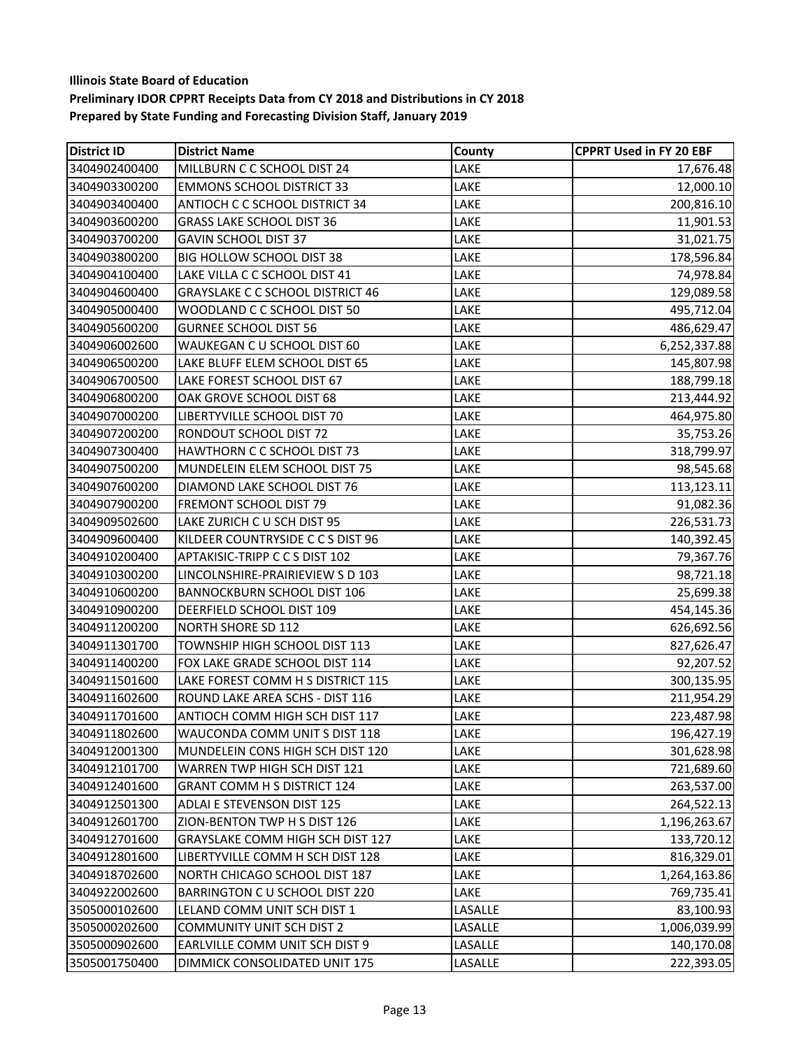| <b>District ID</b> | <b>District Name</b>                    | County  | <b>CPPRT Used in FY 20 EBF</b> |
|--------------------|-----------------------------------------|---------|--------------------------------|
| 3404902400400      | MILLBURN C C SCHOOL DIST 24             | LAKE    | 17,676.48                      |
| 3404903300200      | <b>EMMONS SCHOOL DISTRICT 33</b>        | LAKE    | 12,000.10                      |
| 3404903400400      | ANTIOCH C C SCHOOL DISTRICT 34          | LAKE    | 200,816.10                     |
| 3404903600200      | <b>GRASS LAKE SCHOOL DIST 36</b>        | LAKE    | 11,901.53                      |
| 3404903700200      | GAVIN SCHOOL DIST 37                    | LAKE    | 31,021.75                      |
| 3404903800200      | BIG HOLLOW SCHOOL DIST 38               | LAKE    | 178,596.84                     |
| 3404904100400      | LAKE VILLA C C SCHOOL DIST 41           | LAKE    | 74,978.84                      |
| 3404904600400      | <b>GRAYSLAKE C C SCHOOL DISTRICT 46</b> | LAKE    | 129,089.58                     |
| 3404905000400      | WOODLAND C C SCHOOL DIST 50             | LAKE    | 495,712.04                     |
| 3404905600200      | <b>GURNEE SCHOOL DIST 56</b>            | LAKE    | 486,629.47                     |
| 3404906002600      | WAUKEGAN C U SCHOOL DIST 60             | LAKE    | 6,252,337.88                   |
| 3404906500200      | LAKE BLUFF ELEM SCHOOL DIST 65          | LAKE    | 145,807.98                     |
| 3404906700500      | LAKE FOREST SCHOOL DIST 67              | LAKE    | 188,799.18                     |
| 3404906800200      | OAK GROVE SCHOOL DIST 68                | LAKE    | 213,444.92                     |
| 3404907000200      | LIBERTYVILLE SCHOOL DIST 70             | LAKE    | 464,975.80                     |
| 3404907200200      | RONDOUT SCHOOL DIST 72                  | LAKE    | 35,753.26                      |
| 3404907300400      | HAWTHORN C C SCHOOL DIST 73             | LAKE    | 318,799.97                     |
| 3404907500200      | MUNDELEIN ELEM SCHOOL DIST 75           | LAKE    | 98,545.68                      |
| 3404907600200      | DIAMOND LAKE SCHOOL DIST 76             | LAKE    | 113,123.11                     |
| 3404907900200      | FREMONT SCHOOL DIST 79                  | LAKE    | 91,082.36                      |
| 3404909502600      | LAKE ZURICH C U SCH DIST 95             | LAKE    | 226,531.73                     |
| 3404909600400      | KILDEER COUNTRYSIDE C C S DIST 96       | LAKE    | 140,392.45                     |
| 3404910200400      | APTAKISIC-TRIPP C C S DIST 102          | LAKE    | 79,367.76                      |
| 3404910300200      | LINCOLNSHIRE-PRAIRIEVIEW S D 103        | LAKE    | 98,721.18                      |
| 3404910600200      | <b>BANNOCKBURN SCHOOL DIST 106</b>      | LAKE    | 25,699.38                      |
| 3404910900200      | DEERFIELD SCHOOL DIST 109               | LAKE    | 454,145.36                     |
| 3404911200200      | NORTH SHORE SD 112                      | LAKE    | 626,692.56                     |
| 3404911301700      | TOWNSHIP HIGH SCHOOL DIST 113           | LAKE    | 827,626.47                     |
| 3404911400200      | FOX LAKE GRADE SCHOOL DIST 114          | LAKE    | 92,207.52                      |
| 3404911501600      | LAKE FOREST COMM H S DISTRICT 115       | LAKE    | 300,135.95                     |
| 3404911602600      | ROUND LAKE AREA SCHS - DIST 116         | LAKE    | 211,954.29                     |
| 3404911701600      | ANTIOCH COMM HIGH SCH DIST 117          | LAKE    | 223,487.98                     |
| 3404911802600      | WAUCONDA COMM UNIT S DIST 118           | LAKE    | 196,427.19                     |
| 3404912001300      | MUNDELEIN CONS HIGH SCH DIST 120        | LAKE    | 301,628.98                     |
| 3404912101700      | WARREN TWP HIGH SCH DIST 121            | LAKE    | 721,689.60                     |
| 3404912401600      | <b>GRANT COMM H S DISTRICT 124</b>      | LAKE    | 263,537.00                     |
| 3404912501300      | ADLAI E STEVENSON DIST 125              | LAKE    | 264,522.13                     |
| 3404912601700      | ZION-BENTON TWP H S DIST 126            | LAKE    | 1,196,263.67                   |
| 3404912701600      | GRAYSLAKE COMM HIGH SCH DIST 127        | LAKE    | 133,720.12                     |
| 3404912801600      | LIBERTYVILLE COMM H SCH DIST 128        | LAKE    | 816,329.01                     |
| 3404918702600      | NORTH CHICAGO SCHOOL DIST 187           | LAKE    | 1,264,163.86                   |
| 3404922002600      | BARRINGTON C U SCHOOL DIST 220          | LAKE    | 769,735.41                     |
| 3505000102600      | LELAND COMM UNIT SCH DIST 1             | LASALLE | 83,100.93                      |
| 3505000202600      | <b>COMMUNITY UNIT SCH DIST 2</b>        | LASALLE | 1,006,039.99                   |
| 3505000902600      | EARLVILLE COMM UNIT SCH DIST 9          | LASALLE | 140,170.08                     |
| 3505001750400      | DIMMICK CONSOLIDATED UNIT 175           | LASALLE | 222,393.05                     |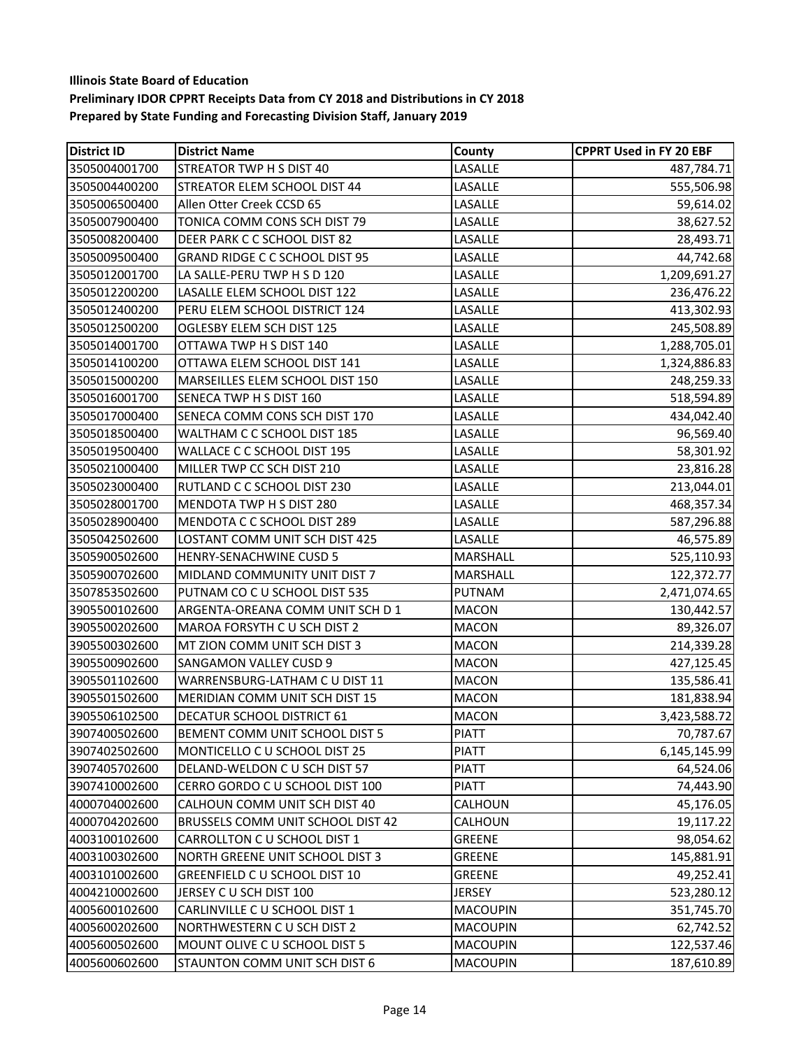| <b>District ID</b> | <b>District Name</b>                  | County          | <b>CPPRT Used in FY 20 EBF</b> |
|--------------------|---------------------------------------|-----------------|--------------------------------|
| 3505004001700      | STREATOR TWP H S DIST 40              | LASALLE         | 487,784.71                     |
| 3505004400200      | STREATOR ELEM SCHOOL DIST 44          | LASALLE         | 555,506.98                     |
| 3505006500400      | Allen Otter Creek CCSD 65             | LASALLE         | 59,614.02                      |
| 3505007900400      | TONICA COMM CONS SCH DIST 79          | LASALLE         | 38,627.52                      |
| 3505008200400      | DEER PARK C C SCHOOL DIST 82          | LASALLE         | 28,493.71                      |
| 3505009500400      | <b>GRAND RIDGE C C SCHOOL DIST 95</b> | LASALLE         | 44,742.68                      |
| 3505012001700      | LA SALLE-PERU TWP H S D 120           | LASALLE         | 1,209,691.27                   |
| 3505012200200      | LASALLE ELEM SCHOOL DIST 122          | LASALLE         | 236,476.22                     |
| 3505012400200      | PERU ELEM SCHOOL DISTRICT 124         | LASALLE         | 413,302.93                     |
| 3505012500200      | OGLESBY ELEM SCH DIST 125             | LASALLE         | 245,508.89                     |
| 3505014001700      | OTTAWA TWP H S DIST 140               | LASALLE         | 1,288,705.01                   |
| 3505014100200      | OTTAWA ELEM SCHOOL DIST 141           | LASALLE         | 1,324,886.83                   |
| 3505015000200      | MARSEILLES ELEM SCHOOL DIST 150       | LASALLE         | 248,259.33                     |
| 3505016001700      | SENECA TWP H S DIST 160               | LASALLE         | 518,594.89                     |
| 3505017000400      | SENECA COMM CONS SCH DIST 170         | LASALLE         | 434,042.40                     |
| 3505018500400      | WALTHAM C C SCHOOL DIST 185           | LASALLE         | 96,569.40                      |
| 3505019500400      | WALLACE C C SCHOOL DIST 195           | LASALLE         | 58,301.92                      |
| 3505021000400      | MILLER TWP CC SCH DIST 210            | LASALLE         | 23,816.28                      |
| 3505023000400      | RUTLAND C C SCHOOL DIST 230           | LASALLE         | 213,044.01                     |
| 3505028001700      | MENDOTA TWP H S DIST 280              | LASALLE         | 468,357.34                     |
| 3505028900400      | MENDOTA C C SCHOOL DIST 289           | LASALLE         | 587,296.88                     |
| 3505042502600      | LOSTANT COMM UNIT SCH DIST 425        | LASALLE         | 46,575.89                      |
| 3505900502600      | HENRY-SENACHWINE CUSD 5               | MARSHALL        | 525,110.93                     |
| 3505900702600      | MIDLAND COMMUNITY UNIT DIST 7         | MARSHALL        | 122,372.77                     |
| 3507853502600      | PUTNAM CO C U SCHOOL DIST 535         | <b>PUTNAM</b>   | 2,471,074.65                   |
| 3905500102600      | ARGENTA-OREANA COMM UNIT SCH D 1      | <b>MACON</b>    | 130,442.57                     |
| 3905500202600      | MAROA FORSYTH C U SCH DIST 2          | <b>MACON</b>    | 89,326.07                      |
| 3905500302600      | MT ZION COMM UNIT SCH DIST 3          | <b>MACON</b>    | 214,339.28                     |
| 3905500902600      | <b>SANGAMON VALLEY CUSD 9</b>         | <b>MACON</b>    | 427,125.45                     |
| 3905501102600      | WARRENSBURG-LATHAM C U DIST 11        | <b>MACON</b>    | 135,586.41                     |
| 3905501502600      | MERIDIAN COMM UNIT SCH DIST 15        | <b>MACON</b>    | 181,838.94                     |
| 3905506102500      | <b>DECATUR SCHOOL DISTRICT 61</b>     | <b>MACON</b>    | 3,423,588.72                   |
| 3907400502600      | <b>BEMENT COMM UNIT SCHOOL DIST 5</b> | <b>PIATT</b>    | 70,787.67                      |
| 3907402502600      | MONTICELLO C U SCHOOL DIST 25         | <b>PIATT</b>    | 6,145,145.99                   |
| 3907405702600      | DELAND-WELDON C U SCH DIST 57         | <b>PIATT</b>    | 64,524.06                      |
| 3907410002600      | CERRO GORDO C U SCHOOL DIST 100       | <b>PIATT</b>    | 74,443.90                      |
| 4000704002600      | CALHOUN COMM UNIT SCH DIST 40         | CALHOUN         | 45,176.05                      |
| 4000704202600      | BRUSSELS COMM UNIT SCHOOL DIST 42     | CALHOUN         | 19,117.22                      |
| 4003100102600      | CARROLLTON C U SCHOOL DIST 1          | <b>GREENE</b>   | 98,054.62                      |
| 4003100302600      | NORTH GREENE UNIT SCHOOL DIST 3       | <b>GREENE</b>   | 145,881.91                     |
| 4003101002600      | GREENFIELD C U SCHOOL DIST 10         | <b>GREENE</b>   | 49,252.41                      |
| 4004210002600      | JERSEY C U SCH DIST 100               | <b>JERSEY</b>   | 523,280.12                     |
| 4005600102600      | CARLINVILLE C U SCHOOL DIST 1         | <b>MACOUPIN</b> | 351,745.70                     |
| 4005600202600      | NORTHWESTERN CU SCH DIST 2            | <b>MACOUPIN</b> | 62,742.52                      |
| 4005600502600      | MOUNT OLIVE C U SCHOOL DIST 5         | <b>MACOUPIN</b> | 122,537.46                     |
| 4005600602600      | STAUNTON COMM UNIT SCH DIST 6         | <b>MACOUPIN</b> | 187,610.89                     |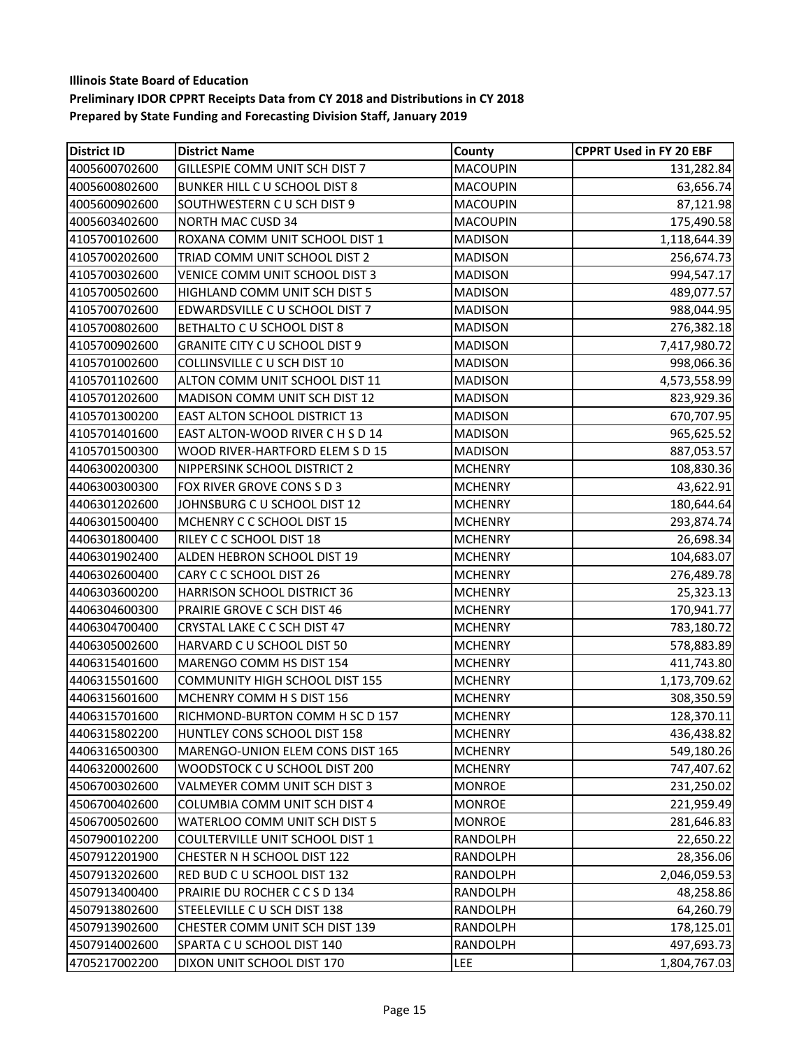| <b>District ID</b> | <b>District Name</b>                  | County          | <b>CPPRT Used in FY 20 EBF</b> |
|--------------------|---------------------------------------|-----------------|--------------------------------|
| 4005600702600      | GILLESPIE COMM UNIT SCH DIST 7        | <b>MACOUPIN</b> | 131,282.84                     |
| 4005600802600      | BUNKER HILL C U SCHOOL DIST 8         | <b>MACOUPIN</b> | 63,656.74                      |
| 4005600902600      | SOUTHWESTERN C U SCH DIST 9           | <b>MACOUPIN</b> | 87,121.98                      |
| 4005603402600      | <b>NORTH MAC CUSD 34</b>              | <b>MACOUPIN</b> | 175,490.58                     |
| 4105700102600      | ROXANA COMM UNIT SCHOOL DIST 1        | <b>MADISON</b>  | 1,118,644.39                   |
| 4105700202600      | TRIAD COMM UNIT SCHOOL DIST 2         | <b>MADISON</b>  | 256,674.73                     |
| 4105700302600      | VENICE COMM UNIT SCHOOL DIST 3        | <b>MADISON</b>  | 994,547.17                     |
| 4105700502600      | HIGHLAND COMM UNIT SCH DIST 5         | <b>MADISON</b>  | 489,077.57                     |
| 4105700702600      | EDWARDSVILLE C U SCHOOL DIST 7        | <b>MADISON</b>  | 988,044.95                     |
| 4105700802600      | BETHALTO C U SCHOOL DIST 8            | <b>MADISON</b>  | 276,382.18                     |
| 4105700902600      | <b>GRANITE CITY C U SCHOOL DIST 9</b> | <b>MADISON</b>  | 7,417,980.72                   |
| 4105701002600      | COLLINSVILLE C U SCH DIST 10          | <b>MADISON</b>  | 998,066.36                     |
| 4105701102600      | ALTON COMM UNIT SCHOOL DIST 11        | <b>MADISON</b>  | 4,573,558.99                   |
| 4105701202600      | MADISON COMM UNIT SCH DIST 12         | <b>MADISON</b>  | 823,929.36                     |
| 4105701300200      | <b>EAST ALTON SCHOOL DISTRICT 13</b>  | <b>MADISON</b>  | 670,707.95                     |
| 4105701401600      | EAST ALTON-WOOD RIVER C H S D 14      | <b>MADISON</b>  | 965,625.52                     |
| 4105701500300      | WOOD RIVER-HARTFORD ELEM S D 15       | <b>MADISON</b>  | 887,053.57                     |
| 4406300200300      | NIPPERSINK SCHOOL DISTRICT 2          | <b>MCHENRY</b>  | 108,830.36                     |
| 4406300300300      | FOX RIVER GROVE CONS S D 3            | <b>MCHENRY</b>  | 43,622.91                      |
| 4406301202600      | JOHNSBURG C U SCHOOL DIST 12          | <b>MCHENRY</b>  | 180,644.64                     |
| 4406301500400      | MCHENRY C C SCHOOL DIST 15            | <b>MCHENRY</b>  | 293,874.74                     |
| 4406301800400      | RILEY C C SCHOOL DIST 18              | <b>MCHENRY</b>  | 26,698.34                      |
| 4406301902400      | ALDEN HEBRON SCHOOL DIST 19           | <b>MCHENRY</b>  | 104,683.07                     |
| 4406302600400      | CARY C C SCHOOL DIST 26               | <b>MCHENRY</b>  | 276,489.78                     |
| 4406303600200      | HARRISON SCHOOL DISTRICT 36           | <b>MCHENRY</b>  | 25,323.13                      |
| 4406304600300      | PRAIRIE GROVE C SCH DIST 46           | <b>MCHENRY</b>  | 170,941.77                     |
| 4406304700400      | CRYSTAL LAKE C C SCH DIST 47          | <b>MCHENRY</b>  | 783,180.72                     |
| 4406305002600      | HARVARD C U SCHOOL DIST 50            | <b>MCHENRY</b>  | 578,883.89                     |
| 4406315401600      | MARENGO COMM HS DIST 154              | <b>MCHENRY</b>  | 411,743.80                     |
| 4406315501600      | COMMUNITY HIGH SCHOOL DIST 155        | <b>MCHENRY</b>  | 1,173,709.62                   |
| 4406315601600      | MCHENRY COMM H S DIST 156             | <b>MCHENRY</b>  | 308,350.59                     |
| 4406315701600      | RICHMOND-BURTON COMM H SC D 157       | <b>MCHENRY</b>  | 128,370.11                     |
| 4406315802200      | HUNTLEY CONS SCHOOL DIST 158          | <b>MCHENRY</b>  | 436,438.82                     |
| 4406316500300      | MARENGO-UNION ELEM CONS DIST 165      | <b>MCHENRY</b>  | 549,180.26                     |
| 4406320002600      | WOODSTOCK C U SCHOOL DIST 200         | <b>MCHENRY</b>  | 747,407.62                     |
| 4506700302600      | VALMEYER COMM UNIT SCH DIST 3         | <b>MONROE</b>   | 231,250.02                     |
| 4506700402600      | COLUMBIA COMM UNIT SCH DIST 4         | <b>MONROE</b>   | 221,959.49                     |
| 4506700502600      | WATERLOO COMM UNIT SCH DIST 5         | <b>MONROE</b>   | 281,646.83                     |
| 4507900102200      | COULTERVILLE UNIT SCHOOL DIST 1       | RANDOLPH        | 22,650.22                      |
| 4507912201900      | CHESTER N H SCHOOL DIST 122           | <b>RANDOLPH</b> | 28,356.06                      |
| 4507913202600      | RED BUD C U SCHOOL DIST 132           | RANDOLPH        | 2,046,059.53                   |
| 4507913400400      | PRAIRIE DU ROCHER C C S D 134         | RANDOLPH        | 48,258.86                      |
| 4507913802600      | STEELEVILLE C U SCH DIST 138          | RANDOLPH        | 64,260.79                      |
| 4507913902600      | CHESTER COMM UNIT SCH DIST 139        | RANDOLPH        | 178,125.01                     |
| 4507914002600      | SPARTA C U SCHOOL DIST 140            | RANDOLPH        | 497,693.73                     |
| 4705217002200      | DIXON UNIT SCHOOL DIST 170            | <b>LEE</b>      | 1,804,767.03                   |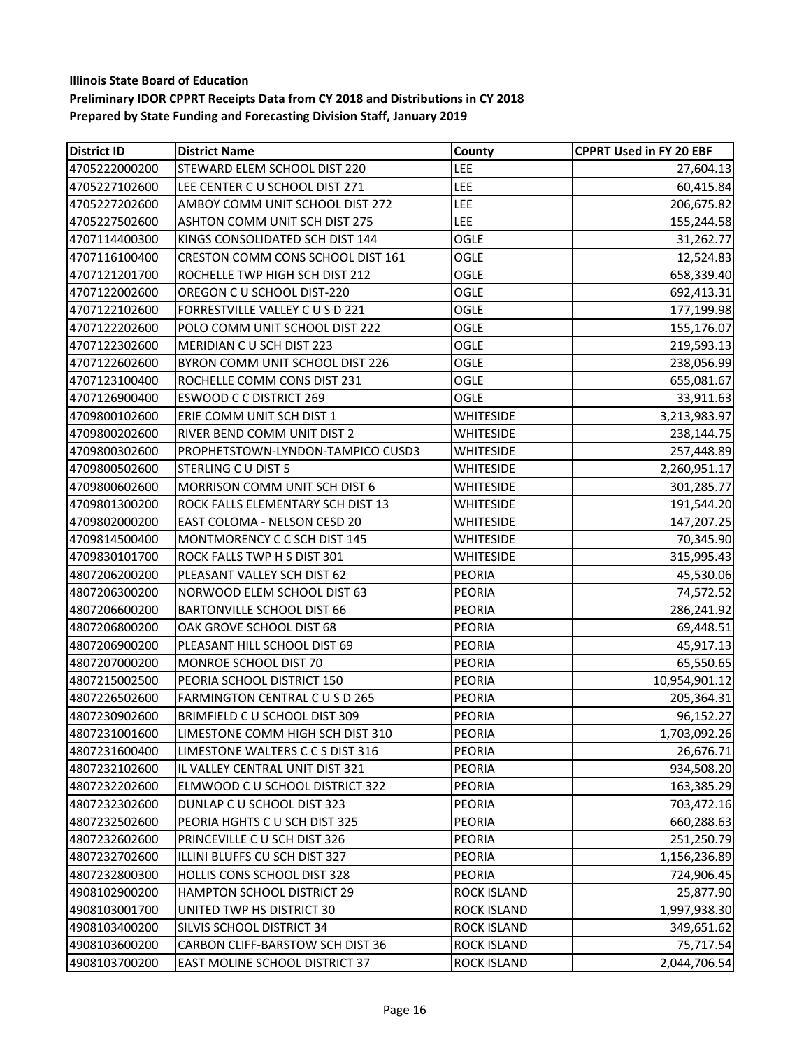| <b>District ID</b> | <b>District Name</b>                 | County             | <b>CPPRT Used in FY 20 EBF</b> |
|--------------------|--------------------------------------|--------------------|--------------------------------|
| 4705222000200      | STEWARD ELEM SCHOOL DIST 220         | LEE                | 27,604.13                      |
| 4705227102600      | LEE CENTER C U SCHOOL DIST 271       | LEE                | 60,415.84                      |
| 4705227202600      | AMBOY COMM UNIT SCHOOL DIST 272      | <b>LEE</b>         | 206,675.82                     |
| 4705227502600      | <b>ASHTON COMM UNIT SCH DIST 275</b> | LEE                | 155,244.58                     |
| 4707114400300      | KINGS CONSOLIDATED SCH DIST 144      | OGLE               | 31,262.77                      |
| 4707116100400      | CRESTON COMM CONS SCHOOL DIST 161    | <b>OGLE</b>        | 12,524.83                      |
| 4707121201700      | ROCHELLE TWP HIGH SCH DIST 212       | OGLE               | 658,339.40                     |
| 4707122002600      | OREGON C U SCHOOL DIST-220           | <b>OGLE</b>        | 692,413.31                     |
| 4707122102600      | FORRESTVILLE VALLEY C U S D 221      | OGLE               | 177,199.98                     |
| 4707122202600      | POLO COMM UNIT SCHOOL DIST 222       | <b>OGLE</b>        | 155,176.07                     |
| 4707122302600      | MERIDIAN CU SCH DIST 223             | <b>OGLE</b>        | 219,593.13                     |
| 4707122602600      | BYRON COMM UNIT SCHOOL DIST 226      | <b>OGLE</b>        | 238,056.99                     |
| 4707123100400      | ROCHELLE COMM CONS DIST 231          | OGLE               | 655,081.67                     |
| 4707126900400      | <b>ESWOOD C C DISTRICT 269</b>       | <b>OGLE</b>        | 33,911.63                      |
| 4709800102600      | ERIE COMM UNIT SCH DIST 1            | <b>WHITESIDE</b>   | 3,213,983.97                   |
| 4709800202600      | RIVER BEND COMM UNIT DIST 2          | <b>WHITESIDE</b>   | 238,144.75                     |
| 4709800302600      | PROPHETSTOWN-LYNDON-TAMPICO CUSD3    | WHITESIDE          | 257,448.89                     |
| 4709800502600      | <b>STERLING C U DIST 5</b>           | <b>WHITESIDE</b>   | 2,260,951.17                   |
| 4709800602600      | MORRISON COMM UNIT SCH DIST 6        | WHITESIDE          | 301,285.77                     |
| 4709801300200      | ROCK FALLS ELEMENTARY SCH DIST 13    | <b>WHITESIDE</b>   | 191,544.20                     |
| 4709802000200      | EAST COLOMA - NELSON CESD 20         | <b>WHITESIDE</b>   | 147,207.25                     |
| 4709814500400      | MONTMORENCY C C SCH DIST 145         | <b>WHITESIDE</b>   | 70,345.90                      |
| 4709830101700      | ROCK FALLS TWP H S DIST 301          | WHITESIDE          | 315,995.43                     |
| 4807206200200      | PLEASANT VALLEY SCH DIST 62          | <b>PEORIA</b>      | 45,530.06                      |
| 4807206300200      | NORWOOD ELEM SCHOOL DIST 63          | <b>PEORIA</b>      | 74,572.52                      |
| 4807206600200      | <b>BARTONVILLE SCHOOL DIST 66</b>    | <b>PEORIA</b>      | 286,241.92                     |
| 4807206800200      | OAK GROVE SCHOOL DIST 68             | <b>PEORIA</b>      | 69,448.51                      |
| 4807206900200      | PLEASANT HILL SCHOOL DIST 69         | <b>PEORIA</b>      | 45,917.13                      |
| 4807207000200      | MONROE SCHOOL DIST 70                | <b>PEORIA</b>      | 65,550.65                      |
| 4807215002500      | PEORIA SCHOOL DISTRICT 150           | <b>PEORIA</b>      | 10,954,901.12                  |
| 4807226502600      | FARMINGTON CENTRAL CUSD 265          | <b>PEORIA</b>      | 205,364.31                     |
| 4807230902600      | BRIMFIELD C U SCHOOL DIST 309        | <b>PEORIA</b>      | 96,152.27                      |
| 4807231001600      | LIMESTONE COMM HIGH SCH DIST 310     | <b>PEORIA</b>      | 1,703,092.26                   |
| 4807231600400      | LIMESTONE WALTERS C C S DIST 316     | <b>PEORIA</b>      | 26,676.71                      |
| 4807232102600      | IL VALLEY CENTRAL UNIT DIST 321      | <b>PEORIA</b>      | 934,508.20                     |
| 4807232202600      | ELMWOOD C U SCHOOL DISTRICT 322      | <b>PEORIA</b>      | 163,385.29                     |
| 4807232302600      | DUNLAP C U SCHOOL DIST 323           | <b>PEORIA</b>      | 703,472.16                     |
| 4807232502600      | PEORIA HGHTS C U SCH DIST 325        | <b>PEORIA</b>      | 660,288.63                     |
| 4807232602600      | PRINCEVILLE C U SCH DIST 326         | <b>PEORIA</b>      | 251,250.79                     |
| 4807232702600      | ILLINI BLUFFS CU SCH DIST 327        | <b>PEORIA</b>      | 1,156,236.89                   |
| 4807232800300      | HOLLIS CONS SCHOOL DIST 328          | <b>PEORIA</b>      | 724,906.45                     |
| 4908102900200      | <b>HAMPTON SCHOOL DISTRICT 29</b>    | <b>ROCK ISLAND</b> | 25,877.90                      |
| 4908103001700      | UNITED TWP HS DISTRICT 30            | <b>ROCK ISLAND</b> | 1,997,938.30                   |
| 4908103400200      | SILVIS SCHOOL DISTRICT 34            | ROCK ISLAND        | 349,651.62                     |
| 4908103600200      | CARBON CLIFF-BARSTOW SCH DIST 36     | <b>ROCK ISLAND</b> | 75,717.54                      |
| 4908103700200      | EAST MOLINE SCHOOL DISTRICT 37       | <b>ROCK ISLAND</b> | 2,044,706.54                   |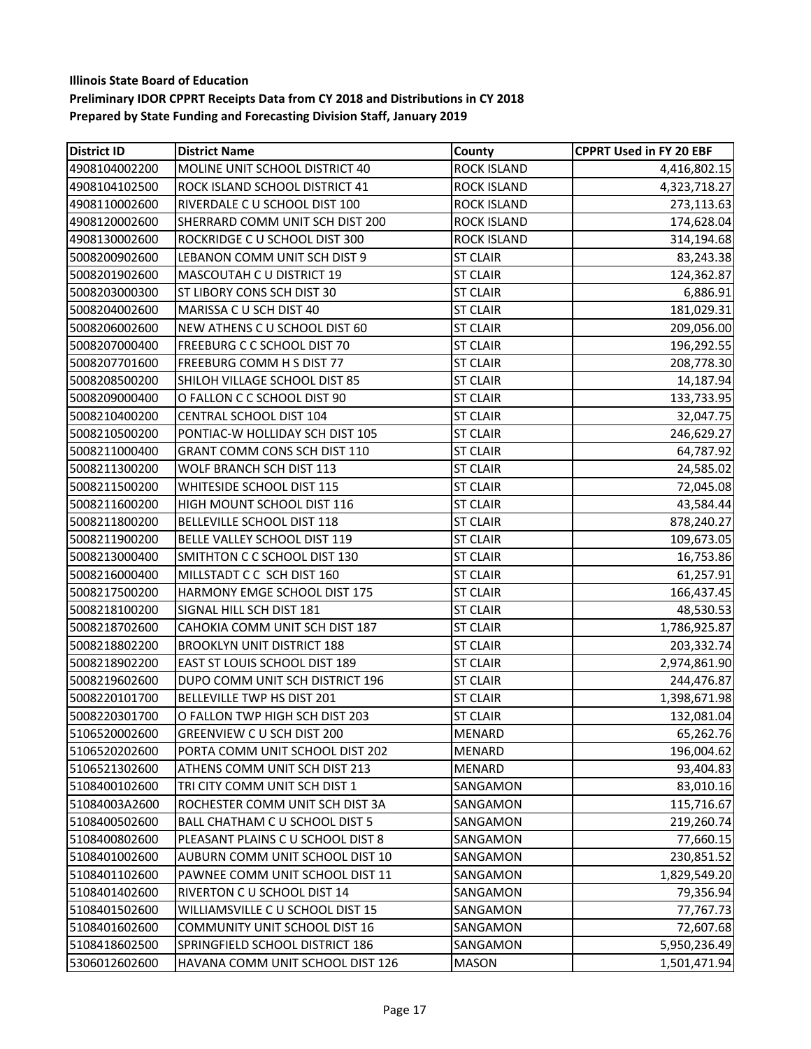| <b>District ID</b> | <b>District Name</b>              | County             | <b>CPPRT Used in FY 20 EBF</b> |
|--------------------|-----------------------------------|--------------------|--------------------------------|
| 4908104002200      | MOLINE UNIT SCHOOL DISTRICT 40    | <b>ROCK ISLAND</b> | 4,416,802.15                   |
| 4908104102500      | ROCK ISLAND SCHOOL DISTRICT 41    | <b>ROCK ISLAND</b> | 4,323,718.27                   |
| 4908110002600      | RIVERDALE C U SCHOOL DIST 100     | <b>ROCK ISLAND</b> | 273,113.63                     |
| 4908120002600      | SHERRARD COMM UNIT SCH DIST 200   | <b>ROCK ISLAND</b> | 174,628.04                     |
| 4908130002600      | ROCKRIDGE C U SCHOOL DIST 300     | <b>ROCK ISLAND</b> | 314,194.68                     |
| 5008200902600      | LEBANON COMM UNIT SCH DIST 9      | <b>ST CLAIR</b>    | 83,243.38                      |
| 5008201902600      | <b>MASCOUTAH C U DISTRICT 19</b>  | <b>ST CLAIR</b>    | 124,362.87                     |
| 5008203000300      | ST LIBORY CONS SCH DIST 30        | <b>ST CLAIR</b>    | 6,886.91                       |
| 5008204002600      | MARISSA C U SCH DIST 40           | <b>ST CLAIR</b>    | 181,029.31                     |
| 5008206002600      | NEW ATHENS C U SCHOOL DIST 60     | <b>ST CLAIR</b>    | 209,056.00                     |
| 5008207000400      | FREEBURG C C SCHOOL DIST 70       | <b>ST CLAIR</b>    | 196,292.55                     |
| 5008207701600      | FREEBURG COMM H S DIST 77         | <b>ST CLAIR</b>    | 208,778.30                     |
| 5008208500200      | SHILOH VILLAGE SCHOOL DIST 85     | <b>ST CLAIR</b>    | 14,187.94                      |
| 5008209000400      | O FALLON C C SCHOOL DIST 90       | <b>ST CLAIR</b>    | 133,733.95                     |
| 5008210400200      | CENTRAL SCHOOL DIST 104           | <b>ST CLAIR</b>    | 32,047.75                      |
| 5008210500200      | PONTIAC-W HOLLIDAY SCH DIST 105   | <b>ST CLAIR</b>    | 246,629.27                     |
| 5008211000400      | GRANT COMM CONS SCH DIST 110      | <b>ST CLAIR</b>    | 64,787.92                      |
| 5008211300200      | WOLF BRANCH SCH DIST 113          | <b>ST CLAIR</b>    | 24,585.02                      |
| 5008211500200      | WHITESIDE SCHOOL DIST 115         | <b>ST CLAIR</b>    | 72,045.08                      |
| 5008211600200      | HIGH MOUNT SCHOOL DIST 116        | <b>ST CLAIR</b>    | 43,584.44                      |
| 5008211800200      | BELLEVILLE SCHOOL DIST 118        | <b>ST CLAIR</b>    | 878,240.27                     |
| 5008211900200      | BELLE VALLEY SCHOOL DIST 119      | <b>ST CLAIR</b>    | 109,673.05                     |
| 5008213000400      | SMITHTON C C SCHOOL DIST 130      | <b>ST CLAIR</b>    | 16,753.86                      |
| 5008216000400      | MILLSTADT C C SCH DIST 160        | <b>ST CLAIR</b>    | 61,257.91                      |
| 5008217500200      | HARMONY EMGE SCHOOL DIST 175      | <b>ST CLAIR</b>    | 166,437.45                     |
| 5008218100200      | SIGNAL HILL SCH DIST 181          | <b>ST CLAIR</b>    | 48,530.53                      |
| 5008218702600      | CAHOKIA COMM UNIT SCH DIST 187    | <b>ST CLAIR</b>    | 1,786,925.87                   |
| 5008218802200      | <b>BROOKLYN UNIT DISTRICT 188</b> | <b>ST CLAIR</b>    | 203,332.74                     |
| 5008218902200      | EAST ST LOUIS SCHOOL DIST 189     | <b>ST CLAIR</b>    | 2,974,861.90                   |
| 5008219602600      | DUPO COMM UNIT SCH DISTRICT 196   | <b>ST CLAIR</b>    | 244,476.87                     |
| 5008220101700      | BELLEVILLE TWP HS DIST 201        | <b>ST CLAIR</b>    | 1,398,671.98                   |
| 5008220301700      | O FALLON TWP HIGH SCH DIST 203    | <b>ST CLAIR</b>    | 132,081.04                     |
| 5106520002600      | GREENVIEW C U SCH DIST 200        | <b>MENARD</b>      | 65,262.76                      |
| 5106520202600      | PORTA COMM UNIT SCHOOL DIST 202   | <b>MENARD</b>      | 196,004.62                     |
| 5106521302600      | ATHENS COMM UNIT SCH DIST 213     | <b>MENARD</b>      | 93,404.83                      |
| 5108400102600      | TRI CITY COMM UNIT SCH DIST 1     | SANGAMON           | 83,010.16                      |
| 51084003A2600      | ROCHESTER COMM UNIT SCH DIST 3A   | SANGAMON           | 115,716.67                     |
| 5108400502600      | BALL CHATHAM C U SCHOOL DIST 5    | SANGAMON           | 219,260.74                     |
| 5108400802600      | PLEASANT PLAINS C U SCHOOL DIST 8 | SANGAMON           | 77,660.15                      |
| 5108401002600      | AUBURN COMM UNIT SCHOOL DIST 10   | SANGAMON           | 230,851.52                     |
| 5108401102600      | PAWNEE COMM UNIT SCHOOL DIST 11   | SANGAMON           | 1,829,549.20                   |
| 5108401402600      | RIVERTON C U SCHOOL DIST 14       | SANGAMON           | 79,356.94                      |
| 5108401502600      | WILLIAMSVILLE C U SCHOOL DIST 15  | SANGAMON           | 77,767.73                      |
| 5108401602600      | COMMUNITY UNIT SCHOOL DIST 16     | SANGAMON           | 72,607.68                      |
| 5108418602500      | SPRINGFIELD SCHOOL DISTRICT 186   | SANGAMON           | 5,950,236.49                   |
| 5306012602600      | HAVANA COMM UNIT SCHOOL DIST 126  | <b>MASON</b>       | 1,501,471.94                   |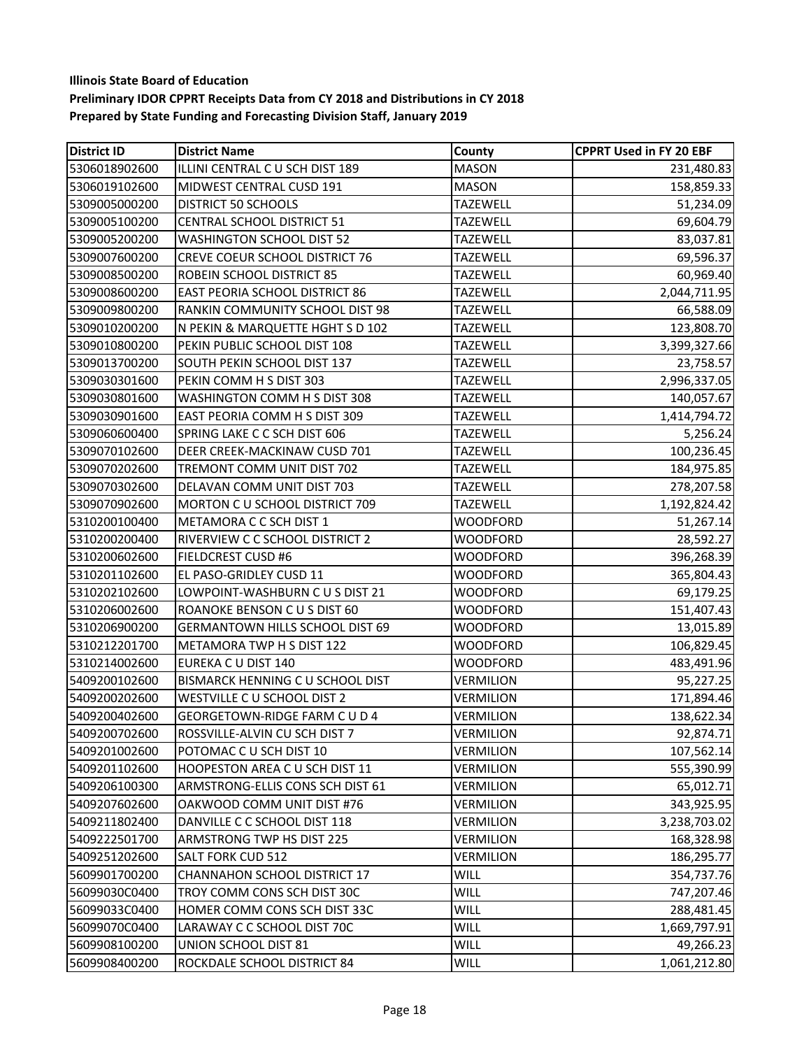| <b>District ID</b> | <b>District Name</b>                  | County           | <b>CPPRT Used in FY 20 EBF</b> |
|--------------------|---------------------------------------|------------------|--------------------------------|
| 5306018902600      | ILLINI CENTRAL C U SCH DIST 189       | <b>MASON</b>     | 231,480.83                     |
| 5306019102600      | MIDWEST CENTRAL CUSD 191              | <b>MASON</b>     | 158,859.33                     |
| 5309005000200      | <b>DISTRICT 50 SCHOOLS</b>            | <b>TAZEWELL</b>  | 51,234.09                      |
| 5309005100200      | <b>CENTRAL SCHOOL DISTRICT 51</b>     | <b>TAZEWELL</b>  | 69,604.79                      |
| 5309005200200      | <b>WASHINGTON SCHOOL DIST 52</b>      | <b>TAZEWELL</b>  | 83,037.81                      |
| 5309007600200      | <b>CREVE COEUR SCHOOL DISTRICT 76</b> | <b>TAZEWELL</b>  | 69,596.37                      |
| 5309008500200      | ROBEIN SCHOOL DISTRICT 85             | <b>TAZEWELL</b>  | 60,969.40                      |
| 5309008600200      | <b>EAST PEORIA SCHOOL DISTRICT 86</b> | <b>TAZEWELL</b>  | 2,044,711.95                   |
| 5309009800200      | RANKIN COMMUNITY SCHOOL DIST 98       | <b>TAZEWELL</b>  | 66,588.09                      |
| 5309010200200      | N PEKIN & MARQUETTE HGHT S D 102      | <b>TAZEWELL</b>  | 123,808.70                     |
| 5309010800200      | PEKIN PUBLIC SCHOOL DIST 108          | <b>TAZEWELL</b>  | 3,399,327.66                   |
| 5309013700200      | SOUTH PEKIN SCHOOL DIST 137           | <b>TAZEWELL</b>  | 23,758.57                      |
| 5309030301600      | PEKIN COMM H S DIST 303               | <b>TAZEWELL</b>  | 2,996,337.05                   |
| 5309030801600      | WASHINGTON COMM H S DIST 308          | <b>TAZEWELL</b>  | 140,057.67                     |
| 5309030901600      | EAST PEORIA COMM H S DIST 309         | <b>TAZEWELL</b>  | 1,414,794.72                   |
| 5309060600400      | SPRING LAKE C C SCH DIST 606          | <b>TAZEWELL</b>  | 5,256.24                       |
| 5309070102600      | DEER CREEK-MACKINAW CUSD 701          | <b>TAZEWELL</b>  | 100,236.45                     |
| 5309070202600      | TREMONT COMM UNIT DIST 702            | <b>TAZEWELL</b>  | 184,975.85                     |
| 5309070302600      | DELAVAN COMM UNIT DIST 703            | <b>TAZEWELL</b>  | 278,207.58                     |
| 5309070902600      | MORTON C U SCHOOL DISTRICT 709        | <b>TAZEWELL</b>  | 1,192,824.42                   |
| 5310200100400      | METAMORA C C SCH DIST 1               | <b>WOODFORD</b>  | 51,267.14                      |
| 5310200200400      | RIVERVIEW C C SCHOOL DISTRICT 2       | <b>WOODFORD</b>  | 28,592.27                      |
| 5310200602600      | <b>FIELDCREST CUSD #6</b>             | WOODFORD         | 396,268.39                     |
| 5310201102600      | EL PASO-GRIDLEY CUSD 11               | <b>WOODFORD</b>  | 365,804.43                     |
| 5310202102600      | LOWPOINT-WASHBURN C U S DIST 21       | <b>WOODFORD</b>  | 69,179.25                      |
| 5310206002600      | ROANOKE BENSON C U S DIST 60          | <b>WOODFORD</b>  | 151,407.43                     |
| 5310206900200      | GERMANTOWN HILLS SCHOOL DIST 69       | WOODFORD         | 13,015.89                      |
| 5310212201700      | METAMORA TWP H S DIST 122             | WOODFORD         | 106,829.45                     |
| 5310214002600      | <b>EUREKA C U DIST 140</b>            | <b>WOODFORD</b>  | 483,491.96                     |
| 5409200102600      | BISMARCK HENNING C U SCHOOL DIST      | VERMILION        | 95,227.25                      |
| 5409200202600      | WESTVILLE C U SCHOOL DIST 2           | VERMILION        | 171,894.46                     |
| 5409200402600      | <b>GEORGETOWN-RIDGE FARM C U D 4</b>  | VERMILION        | 138,622.34                     |
| 5409200702600      | ROSSVILLE-ALVIN CU SCH DIST 7         | VERMILION        | 92,874.71                      |
| 5409201002600      | POTOMAC C U SCH DIST 10               | <b>VERMILION</b> | 107,562.14                     |
| 5409201102600      | <b>HOOPESTON AREA C U SCH DIST 11</b> | VERMILION        | 555,390.99                     |
| 5409206100300      | ARMSTRONG-ELLIS CONS SCH DIST 61      | VERMILION        | 65,012.71                      |
| 5409207602600      | OAKWOOD COMM UNIT DIST #76            | VERMILION        | 343,925.95                     |
| 5409211802400      | DANVILLE C C SCHOOL DIST 118          | VERMILION        | 3,238,703.02                   |
| 5409222501700      | ARMSTRONG TWP HS DIST 225             | VERMILION        | 168,328.98                     |
| 5409251202600      | <b>SALT FORK CUD 512</b>              | <b>VERMILION</b> | 186,295.77                     |
| 5609901700200      | CHANNAHON SCHOOL DISTRICT 17          | WILL             | 354,737.76                     |
| 56099030C0400      | TROY COMM CONS SCH DIST 30C           | WILL             | 747,207.46                     |
| 56099033C0400      | HOMER COMM CONS SCH DIST 33C          | WILL             | 288,481.45                     |
| 56099070C0400      | LARAWAY C C SCHOOL DIST 70C           | WILL             | 1,669,797.91                   |
| 5609908100200      | UNION SCHOOL DIST 81                  | WILL             | 49,266.23                      |
| 5609908400200      | ROCKDALE SCHOOL DISTRICT 84           | WILL             | 1,061,212.80                   |